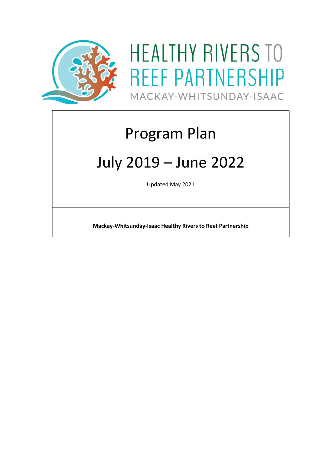

# **HEALTHY RIVERS TO REEF PARTNERSHIP** MACKAY-WHITSUNDAY-ISAAC

# Program Plan

# July 2019 – June 2022

Updated May 2021

**Mackay-Whitsunday-Isaac Healthy Rivers to Reef Partnership**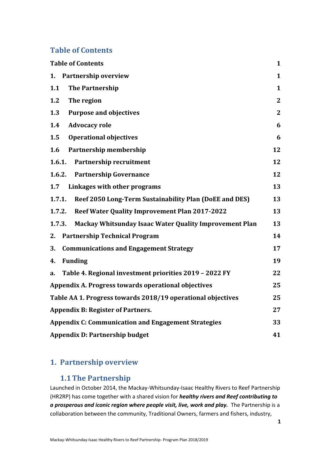## <span id="page-1-0"></span>**Table of Contents**

| <b>Table of Contents</b>                                                | $\mathbf{1}$   |
|-------------------------------------------------------------------------|----------------|
| <b>Partnership overview</b><br>1.                                       | $\mathbf{1}$   |
| 1.1<br><b>The Partnership</b>                                           | $\mathbf{1}$   |
| The region<br>1.2                                                       | $\mathbf{2}$   |
| 1.3<br><b>Purpose and objectives</b>                                    | $\overline{2}$ |
| 1.4<br><b>Advocacy role</b>                                             | 6              |
| <b>Operational objectives</b><br>1.5                                    | 6              |
| Partnership membership<br>1.6                                           | 12             |
| 1.6.1.<br><b>Partnership recruitment</b>                                | 12             |
| 1.6.2.<br><b>Partnership Governance</b>                                 | 12             |
| 1.7<br>Linkages with other programs                                     | 13             |
| 1.7.1.<br>Reef 2050 Long-Term Sustainability Plan (DoEE and DES)        | 13             |
| 1.7.2.<br>Reef Water Quality Improvement Plan 2017-2022                 | 13             |
| <b>Mackay Whitsunday Isaac Water Quality Improvement Plan</b><br>1.7.3. | 13             |
| 2.<br><b>Partnership Technical Program</b>                              | 14             |
| 3.<br><b>Communications and Engagement Strategy</b>                     | 17             |
| <b>Funding</b><br>4.                                                    | 19             |
| Table 4. Regional investment priorities 2019 - 2022 FY<br>a.            | 22             |
| Appendix A. Progress towards operational objectives                     | 25             |
| Table AA 1. Progress towards 2018/19 operational objectives             | 25             |
| <b>Appendix B: Register of Partners.</b>                                | 27             |
| <b>Appendix C: Communication and Engagement Strategies</b>              | 33             |
| <b>Appendix D: Partnership budget</b>                                   | 41             |

# <span id="page-1-2"></span><span id="page-1-1"></span>**1. Partnership overview**

## **1.1The Partnership**

Launched in October 2014, the Mackay-Whitsunday-Isaac Healthy Rivers to Reef Partnership (HR2RP) has come together with a shared vision for *healthy rivers and Reef contributing to a prosperous and iconic region where people visit, live, work and play.* The Partnership is a collaboration between the community, Traditional Owners, farmers and fishers, industry,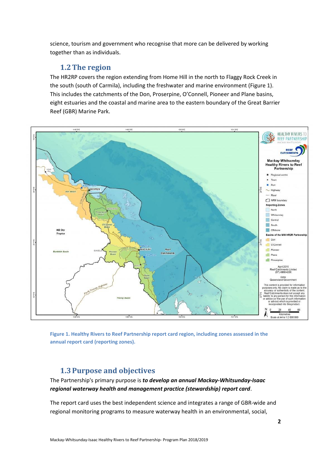science, tourism and government who recognise that more can be delivered by working together than as individuals.

## **1.2The region**

<span id="page-2-0"></span>The HR2RP covers the region extending from Home Hill in the north to Flaggy Rock Creek in the south (south of Carmila), including the freshwater and marine environment (Figure 1). This includes the catchments of the Don, Proserpine, O'Connell, Pioneer and Plane basins, eight estuaries and the coastal and marine area to the eastern boundary of the Great Barrier Reef (GBR) Marine Park.



**Figure 1. Healthy Rivers to Reef Partnership report card region, including zones assessed in the annual report card (reporting zones).**

## **1.3Purpose and objectives**

<span id="page-2-1"></span>The Partnership's primary purpose is *to develop an annual Mackay-Whitsunday-Isaac regional waterway health and management practice (stewardship) report card*.

The report card uses the best independent science and integrates a range of GBR-wide and regional monitoring programs to measure waterway health in an environmental, social,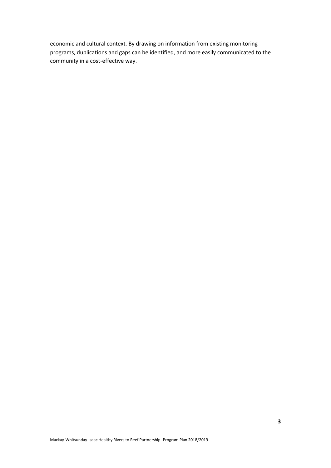economic and cultural context. By drawing on information from existing monitoring programs, duplications and gaps can be identified, and more easily communicated to the community in a cost-effective way.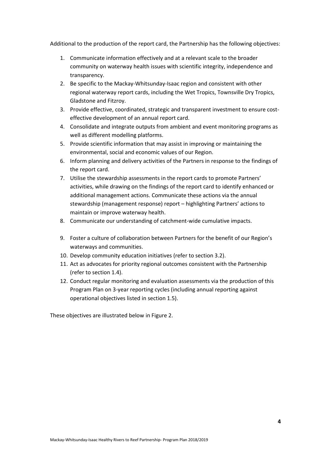Additional to the production of the report card, the Partnership has the following objectives:

- 1. Communicate information effectively and at a relevant scale to the broader community on waterway health issues with scientific integrity, independence and transparency.
- 2. Be specific to the Mackay-Whitsunday-Isaac region and consistent with other regional waterway report cards, including the Wet Tropics, Townsville Dry Tropics, Gladstone and Fitzroy.
- 3. Provide effective, coordinated, strategic and transparent investment to ensure costeffective development of an annual report card.
- 4. Consolidate and integrate outputs from ambient and event monitoring programs as well as different modelling platforms.
- 5. Provide scientific information that may assist in improving or maintaining the environmental, social and economic values of our Region.
- 6. Inform planning and delivery activities of the Partners in response to the findings of the report card.
- 7. Utilise the stewardship assessments in the report cards to promote Partners' activities, while drawing on the findings of the report card to identify enhanced or additional management actions. Communicate these actions via the annual stewardship (management response) report – highlighting Partners' actions to maintain or improve waterway health.
- 8. Communicate our understanding of catchment-wide cumulative impacts.
- 9. Foster a culture of collaboration between Partners for the benefit of our Region's waterways and communities.
- 10. Develop community education initiatives (refer to section 3.2).
- 11. Act as advocates for priority regional outcomes consistent with the Partnership (refer to section 1.4).
- 12. Conduct regular monitoring and evaluation assessments via the production of this Program Plan on 3-year reporting cycles (including annual reporting against operational objectives listed in section 1.5).

These objectives are illustrated below in Figure 2.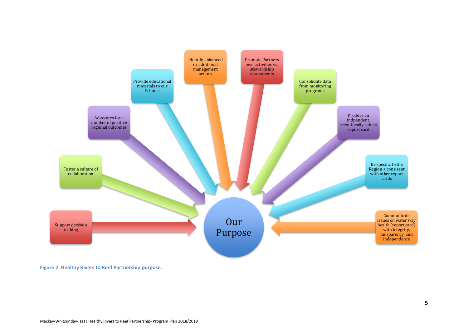

**Figure 2. Healthy Rivers to Reef Partnership purpose.**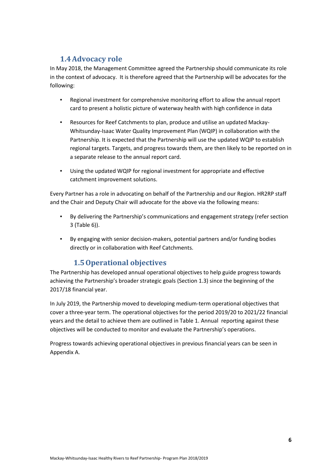## **1.4Advocacy role**

<span id="page-6-0"></span>In May 2018, the Management Committee agreed the Partnership should communicate its role in the context of advocacy. It is therefore agreed that the Partnership will be advocates for the following:

- Regional investment for comprehensive monitoring effort to allow the annual report card to present a holistic picture of waterway health with high confidence in data
- Resources for Reef Catchments to plan, produce and utilise an updated Mackay-Whitsunday-Isaac Water Quality Improvement Plan (WQIP) in collaboration with the Partnership. It is expected that the Partnership will use the updated WQIP to establish regional targets. Targets, and progress towards them, are then likely to be reported on in a separate release to the annual report card.
- Using the updated WQIP for regional investment for appropriate and effective catchment improvement solutions.

Every Partner has a role in advocating on behalf of the Partnership and our Region. HR2RP staff and the Chair and Deputy Chair will advocate for the above via the following means:

- By delivering the Partnership's communications and engagement strategy (refer section 3 (Table 6)).
- By engaging with senior decision-makers, potential partners and/or funding bodies directly or in collaboration with Reef Catchments.

# **1.5Operational objectives**

<span id="page-6-1"></span>The Partnership has developed annual operational objectives to help guide progress towards achieving the Partnership's broader strategic goals (Section 1.3) since the beginning of the 2017/18 financial year.

In July 2019, the Partnership moved to developing medium-term operational objectives that cover a three-year term. The operational objectives for the period 2019/20 to 2021/22 financial years and the detail to achieve them are outlined in Table 1. Annual reporting against these objectives will be conducted to monitor and evaluate the Partnership's operations.

Progress towards achieving operational objectives in previous financial years can be seen in Appendix A.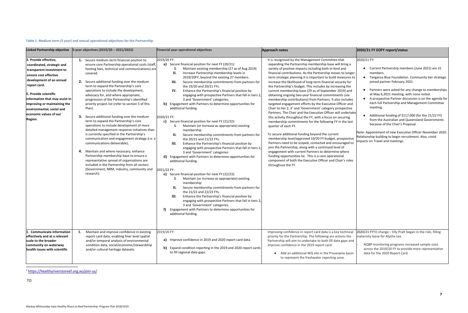### **Table 1. Medium term (3 year) and annual operational objectives for the Partnership**

|                                                                                                                                                                                                                                                                                                                    | Linked Partnership objective $ 3$ -year objectives (2019/20 - 2021/2022)                                                                                                                                                                                                                                                                                                                                                                                                                                                                                                                                                                                                                                                                                                                                                                                                                                                                                                                                                        | Financial year operational objectives                                                                                                                                                                                                                                                                                                                                                                                                                                                                                                                                                                                                                                                                                                                                                                                                                                                                                                                                                                                                                                                                                                                                                                                                                                                                                                                                                                                                                                                                  | <b>Approach notes</b>                                                                                                                                                                                                                                                                                                                                                                                                                                                                                                                                                                                                                                                                                                                                                                                                                                                                                                                                                                                                                                                                                                                                                                                                                                                                                                                                                                                    | 2020/21 FY EOFY report/status                                                                                                                                                                                                                                                                                                                                                                                                                                                                                                                                                                                                                                                                      |
|--------------------------------------------------------------------------------------------------------------------------------------------------------------------------------------------------------------------------------------------------------------------------------------------------------------------|---------------------------------------------------------------------------------------------------------------------------------------------------------------------------------------------------------------------------------------------------------------------------------------------------------------------------------------------------------------------------------------------------------------------------------------------------------------------------------------------------------------------------------------------------------------------------------------------------------------------------------------------------------------------------------------------------------------------------------------------------------------------------------------------------------------------------------------------------------------------------------------------------------------------------------------------------------------------------------------------------------------------------------|--------------------------------------------------------------------------------------------------------------------------------------------------------------------------------------------------------------------------------------------------------------------------------------------------------------------------------------------------------------------------------------------------------------------------------------------------------------------------------------------------------------------------------------------------------------------------------------------------------------------------------------------------------------------------------------------------------------------------------------------------------------------------------------------------------------------------------------------------------------------------------------------------------------------------------------------------------------------------------------------------------------------------------------------------------------------------------------------------------------------------------------------------------------------------------------------------------------------------------------------------------------------------------------------------------------------------------------------------------------------------------------------------------------------------------------------------------------------------------------------------------|----------------------------------------------------------------------------------------------------------------------------------------------------------------------------------------------------------------------------------------------------------------------------------------------------------------------------------------------------------------------------------------------------------------------------------------------------------------------------------------------------------------------------------------------------------------------------------------------------------------------------------------------------------------------------------------------------------------------------------------------------------------------------------------------------------------------------------------------------------------------------------------------------------------------------------------------------------------------------------------------------------------------------------------------------------------------------------------------------------------------------------------------------------------------------------------------------------------------------------------------------------------------------------------------------------------------------------------------------------------------------------------------------------|----------------------------------------------------------------------------------------------------------------------------------------------------------------------------------------------------------------------------------------------------------------------------------------------------------------------------------------------------------------------------------------------------------------------------------------------------------------------------------------------------------------------------------------------------------------------------------------------------------------------------------------------------------------------------------------------------|
| 3. Provide effective,<br>coordinated, strategic and<br>transparent investment to<br>ensure cost effective<br>development of an annual<br>report card.<br>5. Provide scientific<br>information that may assist in<br>improving or maintaining the<br>environmental, social and<br>economic values of our<br>Region. | 1. Secure medium-term financial position to<br>ensure core Partnership operational costs (staff,<br>hosting fees, technical and communications) are<br>covered.<br>2. Secure additional funding over the medium<br>term to expand the Partnership's core<br>operations to include the development,<br>advocacy for, and where appropriate,<br>progression of the Partnership's identified<br>priority project list (refer to section 5 of this<br>Plan).<br>3. Secure additional funding over the medium<br>term to expand the Partnership's core<br>operations to include development of more<br>detailed management response initiatives than<br>is currently specified in the Partnership's<br>communication and engagement strategy (i.e. a<br>communications deliverable).<br>4. Maintain and where necessary, enhance<br>Partnership membership base to ensure a<br>representative spread of organisations are<br>included in the Partnership from all sectors<br>(Government, NRM, industry, community and<br>research). | 2019/20 FY:<br>a) Secure financial position for next FY (20/21):<br>Maintain existing membership (27 as of Aug 2019)<br>II.<br>Increase Partnership membership levels in<br>2019/20FY, beyond the existing 27 members.<br>III.<br>Secure membership commitments from partners for<br>the 19/20 and 20/21 FYs.<br>Enhance the Partnership's financial position by<br>IV.<br>engaging with prospective Partners that fall in tiers 2,<br>3 and 'Government' categories.<br>b) Engagement with Partners to determine opportunities for<br>additional funding.<br>2020/21 FY:<br>c) Secure financial position for next FY (21/22):<br>Maintain (or increase as appropriate) existing<br>membership<br>II.<br>Secure membership commitments from partners for<br>the 20/21 and 21/22 FYs.<br>III.<br>Enhance the Partnership's financial position by<br>engaging with prospective Partners that fall in tiers 2,<br>3 and 'Government' categories.<br>d) Engagement with Partners to determine opportunities for<br>additional funding.<br>2021/22 FY:<br>e) Secure financial position for next FY (22/23):<br>Maintain (or increase as appropriate) existing<br>membership<br>Secure membership commitments from partners for<br>Н.<br>the 21/22 and 22/23 FYs.<br>Enhance the Partnership's financial position by<br>III.<br>engaging with prospective Partners that fall in tiers 2,<br>3 and 'Government' categories.<br>Engagement with Partners to determine opportunities for<br>additional funding. | It is recognised by the Management Committee that<br>expanding the Partnership membership base will bring a<br>variety of positive impacts including both in-kind and<br>financial contributions. As the Partnership moves to longer-<br>term strategic planning it is important to build measures to<br>increase the likelihood of long-term financial security for<br>the Partnership's budget. This includes by increasing the<br>current membership base (29 as of September 2019) and<br>obtaining ongoing two-year financial commitments (via<br>membership contributions) from Partners. It also includes<br>targeted engagement efforts by the Executive Officer and<br>Chair to tier 2, 3 <sup>1</sup> and 'Government' category prospective<br>Partners. The Chair and the Executive Officer will undertake<br>this activity throughout the FY, with a focus on securing<br>membership commitments for the following FY in the last<br>quarter of each FY.<br>To secure additional funding beyond the current<br>membership level/approved 19/20 FY budget, prospective<br>Partners need to be scoped, contacted and encouraged to<br>join the Partnership, along with a continued level of<br>engagement with current Partners to determine where<br>funding opportunities lie. This is a core operational<br>component of both the Executive Officer and Chair's roles<br>throughout the FY. | 2020/21 FY:<br>Current Partnership members (June 2021) are 31<br>members.<br>Tangaroa Blue Foundation. Community tier strategic<br>joined partner February 2021.<br>• Partners were asked for any change to memberships<br>at May 6,2021 meeting, with none noted.<br>• A prospective Partner discussion is on the agenda for<br>each full Partnership and Management Committee<br>meeting.<br>Additional funding of \$117,000 (for the 21/22 FY)<br>from the Australian and Queensland Governments<br>because of the Chair's Proposal.<br>Note: Appointment of new Executive Officer November 2020.<br>Relationship building to begin recruitment. Also, covid<br>impacts on Travel and meetings. |
| . Communicate information<br>effectively and at a relevant<br>scale to the broader<br>community on waterway<br>health issues with scientific                                                                                                                                                                       | Maintain and improve confidence in existing<br>report card data, enabling finer level spatial<br>and/or temporal analysis of environmental<br>condition data, social/economic/stewardship<br>and/or cultural heritage datasets.                                                                                                                                                                                                                                                                                                                                                                                                                                                                                                                                                                                                                                                                                                                                                                                                 | 2019/20 FY:<br>a) Improve confidence in 2019 and 2020 report card data.<br>b) Expand condition reporting in the 2019 and 2020 report cards<br>to fill regional data gaps.                                                                                                                                                                                                                                                                                                                                                                                                                                                                                                                                                                                                                                                                                                                                                                                                                                                                                                                                                                                                                                                                                                                                                                                                                                                                                                                              | Improving confidence in report card data is a key technical<br>priority for the Partnership. The following are actions the<br>Partnership will aim to undertake to both fill data gaps and<br>improve confidence in the 2019 report card:<br>• Add an additional WQ site in the Proserpine basin<br>to represent the freshwater reporting zone.                                                                                                                                                                                                                                                                                                                                                                                                                                                                                                                                                                                                                                                                                                                                                                                                                                                                                                                                                                                                                                                          | 2020/21 FYTO change - Elly Pratt began in the role, filling<br>maternity leave for Alysha Lee.<br>NQBP monitoring programs increased sample sizes<br>across the 2019/20 FY to provide more representative<br>data for the 2020 Report Card.                                                                                                                                                                                                                                                                                                                                                                                                                                                        |

<sup>1</sup> <https://healthyriverstoreef.org.au/join-us/>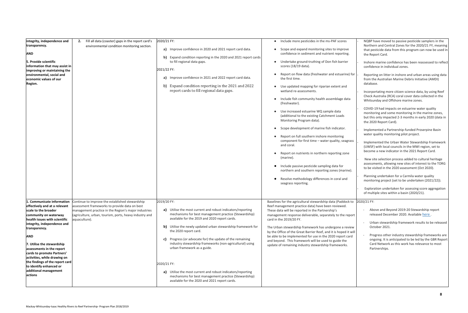| integrity, independence and<br>transparency.<br>AND<br>5. Provide scientific<br>information that may assist in<br>improving or maintaining the<br>environmental, social and<br>economic values of our<br>Region.                                                                                                                                                                                                                | 2. Fill all data (coaster) gaps in the report card's<br>environmental condition monitoring section.                                                                                                                                  | 2020/21 FY:<br>a) Improve confidence in 2020 and 2021 report card data.<br>b) Expand condition reporting in the 2020 and 2021 report cards<br>to fill regional data gaps.<br>2021/22 FY:<br>a) Improve confidence in 2021 and 2022 report card data.<br>b) Expand condition reporting in the 2021 and 2022<br>report cards to fill regional data gaps.                                                                                                                                                                                                                                                                        | • Include more pesticides in the ms-PAF scores<br>Scope and expand monitoring sites to improve<br>confidence in sediment and nutrient reporting.<br>• Undertake ground-truthing of Don fish barrier<br>scores (18/19 data).<br>Report on flow data (freshwater and estuarine) for<br>the first time.<br>• Use updated mapping for riparian extent and<br>wetland re-assessments.<br>• Include fish community health assemblage data<br>(freshwater).<br>Use increased estuarine WQ sample data<br>(additional to the existing Catchment Loads<br>Monitoring Program data).<br>• Scope development of marine fish indicator.<br>Report on full southern inshore monitoring<br>component for first time - water quality, seagrass<br>and coral.<br>Report on nutrients in northern reporting zone<br>(marine).<br>Include passive pesticide sampling data for<br>northern and southern reporting zones (marine).<br>Resolve methodology differences in coral and<br>seagrass reporting. | NQBP have moved to passive pesticide samplers in the<br>Northern and Central Zones for the 2020/21 FY, meaning<br>that pesticide data from this program can now be used in<br>the Report Card.<br>Inshore marine confidence has been reassessed to reflect<br>confidence in individual zones.<br>Reporting on litter in inshore and urban areas using data<br>from the Australian Marine Debris Initiative (AMDI)<br>database.<br>Incorportating more citizen science data, by using Reef<br>Check Australia (RCA) coral cover data collected in the<br>Whitsunday and Offshore marine zones.<br>COVID-19 had impacts on estuarine water quality<br>monitoring and some monitoring in the marine zones,<br>but this only impacted 2-3 months in early 2020 (data in<br>the 2020 Report Card).<br>Implemented a Partnership-funded Proserpine Basin<br>water quality monitoring pilot project.<br>Implemented the Urban Water Stewardship Framework<br>(UWSF) with local councils in the MWI region, set to<br>become a new indicator in the 2021 Report Card.<br>New site selection process added to cultural heritage<br>assessments, allowing new sites of interest to the TORG<br>to be visited in the 2020 assessment (Oct 2020).<br>Planning undertaken for a Carmila water quality<br>monitoring project (set to be undertaken (2021/22)).<br>Exploration undertaken for assessing score aggregation<br>of multiple sites within a basin (2020/21). |
|---------------------------------------------------------------------------------------------------------------------------------------------------------------------------------------------------------------------------------------------------------------------------------------------------------------------------------------------------------------------------------------------------------------------------------|--------------------------------------------------------------------------------------------------------------------------------------------------------------------------------------------------------------------------------------|-------------------------------------------------------------------------------------------------------------------------------------------------------------------------------------------------------------------------------------------------------------------------------------------------------------------------------------------------------------------------------------------------------------------------------------------------------------------------------------------------------------------------------------------------------------------------------------------------------------------------------|---------------------------------------------------------------------------------------------------------------------------------------------------------------------------------------------------------------------------------------------------------------------------------------------------------------------------------------------------------------------------------------------------------------------------------------------------------------------------------------------------------------------------------------------------------------------------------------------------------------------------------------------------------------------------------------------------------------------------------------------------------------------------------------------------------------------------------------------------------------------------------------------------------------------------------------------------------------------------------------|-----------------------------------------------------------------------------------------------------------------------------------------------------------------------------------------------------------------------------------------------------------------------------------------------------------------------------------------------------------------------------------------------------------------------------------------------------------------------------------------------------------------------------------------------------------------------------------------------------------------------------------------------------------------------------------------------------------------------------------------------------------------------------------------------------------------------------------------------------------------------------------------------------------------------------------------------------------------------------------------------------------------------------------------------------------------------------------------------------------------------------------------------------------------------------------------------------------------------------------------------------------------------------------------------------------------------------------------------------------------------------------------------------------------------------------------------------------|
| 1. Communicate information<br>effectively and at a relevant<br>scale to the broader<br>community on waterway<br>health issues with scientific<br>integrity, independence and<br>transparency.<br>AND<br>7. Utilise the stewardship<br>assessments in the report<br>cards to promote Partners'<br>activities, while drawing on<br>the findings of the report card<br>to identify enhanced or<br>additional management<br>actions | Continue to improve the established stewardship<br>assessment frameworks to provide data on best<br>management practice in the Region's major industries<br>(agriculture, urban, tourism, ports, heavy industry and<br>aquaculture). | 2019/20 FY:<br>a) Utilise the most current and robust indicators/reporting<br>mechanisms for best management practice (Stewardship)<br>available for the 2019 and 2020 report cards.<br>b) Utilise the newly updated urban stewardship framework for<br>the 2020 report card.<br>c) Progress (or advocate for) the update of the remaining<br>industry stewardship frameworks (non-agricultural) using<br>urban framework as a guide.<br>2020/21 FY:<br>a) Utilise the most current and robust indicators/reporting<br>mechanisms for best management practice (Stewardship)<br>available for the 2020 and 2021 report cards. | Baselines for the agricultural stewardship data (Paddock to<br>Reef management practice data) have been reviewed.<br>These data will be reported in the Partnership's<br>management response deliverable, separately to the report<br>card in the 2019/20 FY.<br>The Urban stewardship framework has undergone a review<br>by the Office of the Great Barrier Reef, and it is hoped it will<br>be able to be implemented for use in the 2020 report card<br>and beyond. This framework will be used to guide the<br>update of remaining industry stewardship frameworks.                                                                                                                                                                                                                                                                                                                                                                                                              | 2020/21 FY:<br>Above and Beyond 2019-20 Stewardship report<br>released December 2020. Available here.<br>Urban stewardship framework results to be released<br>October 2021.<br>Progress other industry stewardship frameworks are<br>ongoing. It is anticipated to be led by the GBR Report<br>Card Network as this work has relevance to most<br>Partnerships.                                                                                                                                                                                                                                                                                                                                                                                                                                                                                                                                                                                                                                                                                                                                                                                                                                                                                                                                                                                                                                                                                          |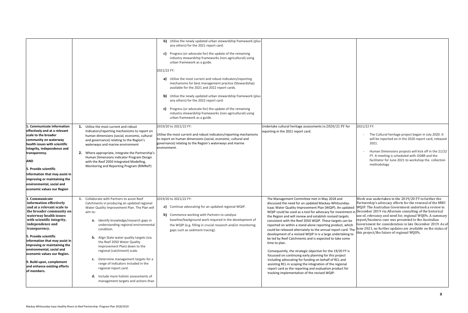| . Communicate information<br>effectively and at a relevant                                                                                                                                                                                                                                                                                                                                                                          | 1. Utilise the most current and robust<br>indicators/reporting mechanisms to report on                                                                                                                                                                                                                                                                                                                                                                                                                                                                                                                       | b) Utilise the newly updated urban stewardship framework (plus<br>any others) for the 2021 report card.<br>c) Progress (or advocate for) the update of the remaining<br>industry stewardship frameworks (non-agricultural) using<br>urban framework as a guide.<br>2021/22 FY:<br>a) Utilise the most current and robust indicators/reporting<br>mechanisms for best management practice (Stewardship)<br>available for the 2021 and 2022 report cards.<br>b) Utilise the newly updated urban stewardship framework (plus<br>any others) for the 2022 report card.<br>Progress (or advocate for) the update of the remaining<br>C)<br>industry stewardship frameworks (non-agricultural) using<br>urban framework as a guide.<br>2019/20 to 2021/22 FY: | Undertake cultural heritage assessments in 2020/21 FY for<br>reporting in the 2021 report card.                                                                                                                                                                                                                                                                                                                                                                                                                                                                                                                                                                                                                                                                                                                                                                                                                                                                                     | 2021/22 FY:                                                                                                                                                                                                                                                                                                                                                                                                                                                                                                                           |
|-------------------------------------------------------------------------------------------------------------------------------------------------------------------------------------------------------------------------------------------------------------------------------------------------------------------------------------------------------------------------------------------------------------------------------------|--------------------------------------------------------------------------------------------------------------------------------------------------------------------------------------------------------------------------------------------------------------------------------------------------------------------------------------------------------------------------------------------------------------------------------------------------------------------------------------------------------------------------------------------------------------------------------------------------------------|---------------------------------------------------------------------------------------------------------------------------------------------------------------------------------------------------------------------------------------------------------------------------------------------------------------------------------------------------------------------------------------------------------------------------------------------------------------------------------------------------------------------------------------------------------------------------------------------------------------------------------------------------------------------------------------------------------------------------------------------------------|-------------------------------------------------------------------------------------------------------------------------------------------------------------------------------------------------------------------------------------------------------------------------------------------------------------------------------------------------------------------------------------------------------------------------------------------------------------------------------------------------------------------------------------------------------------------------------------------------------------------------------------------------------------------------------------------------------------------------------------------------------------------------------------------------------------------------------------------------------------------------------------------------------------------------------------------------------------------------------------|---------------------------------------------------------------------------------------------------------------------------------------------------------------------------------------------------------------------------------------------------------------------------------------------------------------------------------------------------------------------------------------------------------------------------------------------------------------------------------------------------------------------------------------|
| scale to the broader<br>community on waterway<br>health issues with scientific<br>integrity, independence and<br>transparency.<br><b>AND</b><br>5. Provide scientific<br>information that may assist in<br>improving or maintaining the<br>environmental, social and<br>economic values our Region                                                                                                                                  | human dimensions (social, economic, cultural<br>and governance) relating to the Region's<br>waterways and marine environment<br>2. Where appropriate, integrate the Partnership's<br>Human Dimensions indicator Program Design<br>with the Reef 2050 Integrated Modelling,<br>Monitoring and Reporting Program (RIMReP)                                                                                                                                                                                                                                                                                      | Utilise the most current and robust indicators/reporting mechanisms<br>to report on human dimensions (social, economic, cultural and<br>governance) relating to the Region's waterways and marine<br>environment.                                                                                                                                                                                                                                                                                                                                                                                                                                                                                                                                       |                                                                                                                                                                                                                                                                                                                                                                                                                                                                                                                                                                                                                                                                                                                                                                                                                                                                                                                                                                                     | The Cultural heritage project began in July 2020. It<br>will be reported on in the 2020 report card, released<br>2021.<br>Human Dimensions projects will kick off in the 21/22<br>FY. A meeting is scheduled with OGBR and the<br>facilitator for June 2021 to workshop the collection<br>methodology                                                                                                                                                                                                                                 |
| 1. Communicate<br>information effectively<br>and at a relevant scale to<br>the broader community on<br>waterway health issues<br>with scientific integrity,<br>independence and<br>transparency.<br>5. Provide scientific<br>information that may assist in<br>improving or maintaining the<br>environmental, social and<br>economic values our Region.<br>9. Build upon, complement<br>and enhance existing efforts<br>of members. | Collaborate with Partners to assist Reef<br>Catchments in producing an updated regional<br>Water Quality Improvement Plan. The Plan will<br>aim to:<br><b>a.</b> Identify knowledge/research gaps in<br>understanding regional environmental<br>condition.<br><b>b.</b> Align State water quality targets (via<br>the Reef 2050 Water Quality<br>Improvement Plan) down to the<br>regional (catchment) scale.<br>Determine management targets for a<br>range of indicators included in the<br>regional report card.<br><b>d.</b> Include more holistic assessments of<br>management targets and actions than | 2019/20 to 2021/22 FY:<br>a) Continue advocating for an updated regional WQIP.<br>b) Commence working with Partners to catalyse<br>baseline/background work required in the development of<br>the WQIP (e.g. filling in crucial research and/or monitoring<br>gaps such as sediment tracing).                                                                                                                                                                                                                                                                                                                                                                                                                                                           | The Management Committee met in May 2018 and<br>discussed the need for an updated Mackay-Whitsunday-<br>Isaac Water Quality Improvement Plan (WQIP). An updated<br>WQIP could be used as a tool for advocacy for investment in<br>the Region and will review and establish revised targets<br>consistent with the Reef 2050 WQIP. These targets can be<br>reported on within a stand-alone reporting product, which<br>could be released alternately to the annual report card. The<br>development of a revised WQIP in is a large undertaking to<br>be led by Reef Catchments and is expected to take some<br>time to plan.<br>Consequently, the strategic objective for the 19/20 FY is<br>focussed on continuing early planning for this project<br>including advocating for funding on behalf of RCL and<br>assisting RCL in scoping the integration of the regional<br>report card as the reporting and evaluation product for<br>tracking implementation of the revised WQIP. | Work was undertaken in the 2019/20 FY to further the<br>Partnership's advocacy efforts for the renewal of the MWI<br>WQIP. The Australian Government undertook a review in<br>December 2019 via Alluvium consulting of the historical<br>use of, relevancy and need for, regional WQIPs. A summary<br>report/business case was presented to the Australian<br>Government for consideration in late December 2019. As of<br>June 2021, no further updates are available on the status of<br>this project/the future of regional WQIPs. |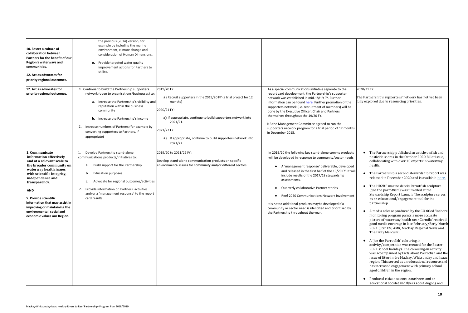| 10. Foster a culture of<br>collaboration between<br>Partners for the benefit of our<br>Region's waterways and<br>communities.<br>12. Act as advocates for<br>priority regional outcomes.                                                                                                                                                                              | the previous (2014) version, for<br>example by including the marine<br>environment, climate change and<br>consideration of Human Dimensions.<br>e. Provide targeted water quality<br>improvement actions for Partners to<br>utilise.                                                                                                                        |                                                                                                                                                                                                                                                                                 |                                                                                                                                                                                                                                                                                                                                                                                                                                                                                                                                                        |                                                                                                                                                                                                                                                                                                                                                                                                                                                                                                                                                                                                                                                                                                                                                                                                                                                                                                                                                                                                                                                                                                                                                                                                                                                                                 |
|-----------------------------------------------------------------------------------------------------------------------------------------------------------------------------------------------------------------------------------------------------------------------------------------------------------------------------------------------------------------------|-------------------------------------------------------------------------------------------------------------------------------------------------------------------------------------------------------------------------------------------------------------------------------------------------------------------------------------------------------------|---------------------------------------------------------------------------------------------------------------------------------------------------------------------------------------------------------------------------------------------------------------------------------|--------------------------------------------------------------------------------------------------------------------------------------------------------------------------------------------------------------------------------------------------------------------------------------------------------------------------------------------------------------------------------------------------------------------------------------------------------------------------------------------------------------------------------------------------------|---------------------------------------------------------------------------------------------------------------------------------------------------------------------------------------------------------------------------------------------------------------------------------------------------------------------------------------------------------------------------------------------------------------------------------------------------------------------------------------------------------------------------------------------------------------------------------------------------------------------------------------------------------------------------------------------------------------------------------------------------------------------------------------------------------------------------------------------------------------------------------------------------------------------------------------------------------------------------------------------------------------------------------------------------------------------------------------------------------------------------------------------------------------------------------------------------------------------------------------------------------------------------------|
| 12. Act as advocates for<br>priority regional outcomes.                                                                                                                                                                                                                                                                                                               | 1. Continue to build the Partnership supporters<br>network (open to organisations/businesses) to:<br>a. Increase the Partnership's visibility and<br>reputation within the business<br>community<br><b>b.</b> Increase the Partnership's income<br>2. Increase numbers of Partners (for example by<br>converting supporters to Partners, if<br>appropriate) | 2019/20 FY:<br>a) Recruit supporters in the 2019/20 FY (a trial project for 12<br>months)<br>2020/21 FY:<br>a) If appropriate, continue to build supporters network into<br>2021/21.<br>2021/22 FY:<br>a) If appropriate, continue to build supporters network into<br>2021/22. | As a special communications initiative separate to the<br>report card development, the Partnership's supporter<br>network was established in mid-18/19 FY. Further<br>information can be found here. Further promotion of the<br>supporters network (i.e. recruitment of members) will be<br>done by the Executive Officer, Chair and Partners<br>themselves throughout the 19/20 FY.<br>NB the Management Committee agreed to run the<br>supporters network program for a trial period of 12 months<br>in December 2018.                              | 2020/21 FY:<br>The Partnership's supporters' network has not yet been<br>fully explored due to resourcing priorities.                                                                                                                                                                                                                                                                                                                                                                                                                                                                                                                                                                                                                                                                                                                                                                                                                                                                                                                                                                                                                                                                                                                                                           |
| 1. Communicate<br>information effectively<br>and at a relevant scale to<br>the broader community on<br>waterway health issues<br>with scientific integrity,<br>independence and<br>transparency.<br><b>AND</b><br>5. Provide scientific<br>information that may assist in<br>improving or maintaining the<br>environmental, social and<br>economic values our Region. | Develop Partnership stand-alone<br>communications products/initiatives to:<br>a. Build support for the Partnership<br><b>b.</b> Education purposes<br>c. Advocate for regional outcomes/activities<br>Provide information on Partners' activities<br>and/or a 'management response' to the report<br>card results                                           | 2019/20 to 2021/22 FY:<br>Develop stand-alone communication products on specific<br>environmental issues for community and/or different sectors                                                                                                                                 | In 2019/20 the following key stand-alone comms products<br>will be developed in response to community/sector needs:<br>A 'management response' deliverable, developed<br>and released in the first half of the 19/20 FY. It will<br>include results of the 2017/18 stewardship<br>assessments.<br>Quarterly collaborative Partner stories<br>Reef 2050 Communications Network involvement<br>It is noted additional products maybe developed if a<br>community or sector need is identified and prioritised by<br>the Partnership throughout the year. | • The Partnership published an article on fish and<br>pesticide scores in the October 2020 Billet issue,<br>collaborating with over 10 experts in waterway<br>health.<br>The Partnership's second stewardship report was<br>released in December 2020 and is available here.<br>The HR2RP marine debris Parrotfish sculpture<br>('Joe the parrotfish') was unveiled at the<br>Stewardship Report Launch. The sculpture serves<br>as an educational/engagement tool for the<br>partnership.<br>A media release produced by the CO titled 'Inshore<br>monitoring program paints a more accurate<br>picture of waterway health near Carmila' received<br>good media coverage in late February/Early March<br>2021 (Star FM, 4MK, Mackay Regional News and<br>The Daily Mercury).<br>• A 'Joe the Parrotfish' colouring in<br>activity/competition was created for the Easter<br>2021 school holidays. The colouring-in activity<br>was accompanied by facts about Parrotfish and the<br>issue of litter in the Mackay, Whitsunday and Isaac<br>region. This served as an educational resource and<br>has increased engagement with primary school<br>aged children in the region.<br>Produced citizen science datasheets and an<br>educational booklet and flyers about dugong and |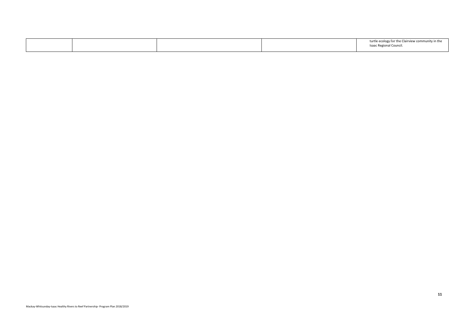|  |  |  | a ecology for the Clairview community in the<br>turtic ccor<br>Isaac Regional Council<br>the contract of the contract of the contract of the contract of the contract of the contract of the contract of<br>_______ |
|--|--|--|---------------------------------------------------------------------------------------------------------------------------------------------------------------------------------------------------------------------|
|--|--|--|---------------------------------------------------------------------------------------------------------------------------------------------------------------------------------------------------------------------|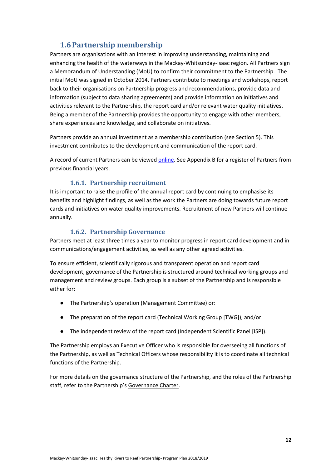# **1.6Partnership membership**

<span id="page-12-0"></span>Partners are organisations with an interest in improving understanding, maintaining and enhancing the health of the waterways in the Mackay-Whitsunday-Isaac region. All Partners sign a Memorandum of Understanding (MoU) to confirm their commitment to the Partnership. The initial MoU was signed in October 2014. Partners contribute to meetings and workshops, report back to their organisations on Partnership progress and recommendations, provide data and information (subject to data sharing agreements) and provide information on initiatives and activities relevant to the Partnership, the report card and/or relevant water quality initiatives. Being a member of the Partnership provides the opportunity to engage with other members, share experiences and knowledge, and collaborate on initiatives.

Partners provide an annual investment as a membership contribution (see Section 5). This investment contributes to the development and communication of the report card.

A record of current Partners can be viewe[d online.](https://healthyriverstoreef.org.au/about-us/members/) See Appendix B for a register of Partners from previous financial years.

## **1.6.1. Partnership recruitment**

<span id="page-12-1"></span>It is important to raise the profile of the annual report card by continuing to emphasise its benefits and highlight findings, as well as the work the Partners are doing towards future report cards and initiatives on water quality improvements. Recruitment of new Partners will continue annually.

## **1.6.2. Partnership Governance**

<span id="page-12-2"></span>Partners meet at least three times a year to monitor progress in report card development and in communications/engagement activities, as well as any other agreed activities.

To ensure efficient, scientifically rigorous and transparent operation and report card development, governance of the Partnership is structured around technical working groups and management and review groups. Each group is a subset of the Partnership and is responsible either for:

- The Partnership's operation (Management Committee) or:
- The preparation of the report card (Technical Working Group [TWG]), and/or
- The independent review of the report card (Independent Scientific Panel [ISP]).

The Partnership employs an Executive Officer who is responsible for overseeing all functions of the Partnership, as well as Technical Officers whose responsibility it is to coordinate all technical functions of the Partnership.

For more details on the governance structure of the Partnership, and the roles of the Partnership staff, refer to the Partnership's [Governance Charter.](http://healthyriverstoreef.org.au/about-us/governance/)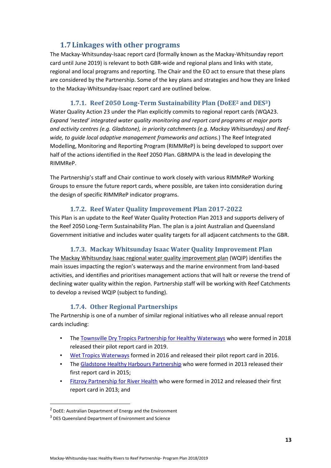## **1.7Linkages with other programs**

<span id="page-13-0"></span>The Mackay-Whitsunday-Isaac report card (formally known as the Mackay-Whitsunday report card until June 2019) is relevant to both GBR-wide and regional plans and links with state, regional and local programs and reporting. The Chair and the EO act to ensure that these plans are considered by the Partnership. Some of the key plans and strategies and how they are linked to the Mackay-Whitsunday-Isaac report card are outlined below.

## **1.7.1. Reef 2050 Long-Term Sustainability Plan (DoEE<sup>2</sup> and DES3)**

<span id="page-13-1"></span>Water Quality Action 23 under the Plan explicitly commits to regional report cards (WQA23. *Expand 'nested' integrated water quality monitoring and report card programs at major ports and activity centres (e.g. Gladstone), in priority catchments (e.g. Mackay Whitsundays) and Reefwide, to guide local adaptive management frameworks and actions.*) The Reef Integrated Modelling, Monitoring and Reporting Program (RIMMReP) is being developed to support over half of the actions identified in the Reef 2050 Plan. GBRMPA is the lead in developing the RIMMReP.

The Partnership's staff and Chair continue to work closely with various RIMMReP Working Groups to ensure the future report cards, where possible, are taken into consideration during the design of specific RIMMReP indicator programs.

## **1.7.2. Reef Water Quality Improvement Plan 2017-2022**

<span id="page-13-2"></span>This Plan is an update to the Reef Water Quality Protection Plan 2013 and supports delivery of the Reef 2050 Long-Term Sustainability Plan. The plan is a joint Australian and Queensland Government initiative and includes water quality targets for all adjacent catchments to the GBR.

## **1.7.3. Mackay Whitsunday Isaac Water Quality Improvement Plan**

<span id="page-13-3"></span>The [Mackay Whitsunday Isaac regional water quality improvement plan](http://reefcatchments.com.au/wqip/) (WQIP) identifies the main issues impacting the region's waterways and the marine environment from land-based activities, and identifies and prioritises management actions that will halt or reverse the trend of declining water quality within the region. Partnership staff will be working with Reef Catchments to develop a revised WQIP (subject to funding).

## **1.7.4. Other Regional Partnerships**

The Partnership is one of a number of similar regional initiatives who all release annual report cards including:

- The [Townsville Dry Tropics Partnership for Healthy Waterways](https://drytropicshealthywaters.org/) who were formed in 2018 released their pilot report card in 2019.
- [Wet Tropics Waterways](https://wettropicswaterways.org.au/) formed in 2016 and released their pilot report card in 2016.
- The [Gladstone Healthy Harbours Partnership](http://ghhp.org.au/) who were formed in 2013 released their first report card in 2015;
- [Fitzroy Partnership for River Health](https://riverhealth.org.au/) who were formed in 2012 and released their first report card in 2013; and

 $2$  DoEE: Australian Department of Energy and the Environment

<sup>&</sup>lt;sup>3</sup> DES Queensland Department of Environment and Science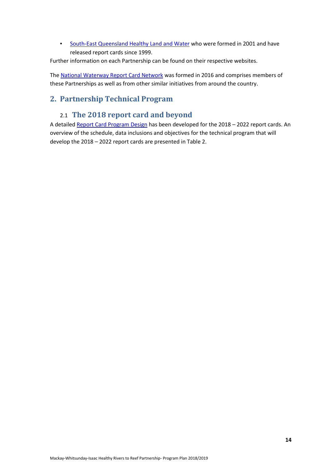**Example 2018** [South-East Queensland Healthy Land and Water](http://hlw.org.au/) who were formed in 2001 and have released report cards since 1999.

Further information on each Partnership can be found on their respective websites.

The [National Waterway Report Card Network](https://waterwayhealth.org.au/) was formed in 2016 and comprises members of these Partnerships as well as from other similar initiatives from around the country.

# <span id="page-14-0"></span>**2. Partnership Technical Program**

## 2.1 **The 2018 report card and beyond**

A detaile[d Report Card Program Design](https://healthyriverstoreef.org.au/report-card/program-design/) has been developed for the 2018 - 2022 report cards. An overview of the schedule, data inclusions and objectives for the technical program that will develop the 2018 – 2022 report cards are presented in Table 2.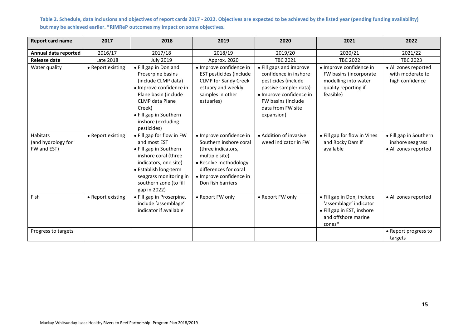**Table 2. Schedule, data inclusions and objectives of report cards 2017 - 2022. Objectives are expected to be achieved by the listed year (pending funding availability) but may be achieved earlier. \*RIMReP outcomes my impact on some objectives.**

| <b>Report card name</b>                              | 2017              | 2018                                                                                                                                                                                                                    | 2019                                                                                                                                                                                        | 2020                                                                                                                                                                                 | 2021                                                                                                                | 2022                                                               |
|------------------------------------------------------|-------------------|-------------------------------------------------------------------------------------------------------------------------------------------------------------------------------------------------------------------------|---------------------------------------------------------------------------------------------------------------------------------------------------------------------------------------------|--------------------------------------------------------------------------------------------------------------------------------------------------------------------------------------|---------------------------------------------------------------------------------------------------------------------|--------------------------------------------------------------------|
| Annual data reported                                 | 2016/17           | 2017/18                                                                                                                                                                                                                 | 2018/19                                                                                                                                                                                     | 2019/20                                                                                                                                                                              | 2020/21                                                                                                             | 2021/22                                                            |
| Release date                                         | Late 2018         | <b>July 2019</b>                                                                                                                                                                                                        | Approx. 2020                                                                                                                                                                                | <b>TBC 2021</b>                                                                                                                                                                      | <b>TBC 2022</b>                                                                                                     | <b>TBC 2023</b>                                                    |
| Water quality                                        | • Report existing | • Fill gap in Don and<br>Proserpine basins<br>(include CLMP data)<br>· Improve confidence in<br>Plane basin (include<br><b>CLMP</b> data Plane<br>Creek)<br>• Fill gap in Southern<br>inshore (excluding<br>pesticides) | · Improve confidence in<br>EST pesticides (include<br><b>CLMP</b> for Sandy Creek<br>estuary and weekly<br>samples in other<br>estuaries)                                                   | • Fill gaps and improve<br>confidence in inshore<br>pesticides (include<br>passive sampler data)<br>· Improve confidence in<br>FW basins (include<br>data from FW site<br>expansion) | • Improve confidence in<br>FW basins (incorporate<br>modelling into water<br>quality reporting if<br>feasible)      | • All zones reported<br>with moderate to<br>high confidence        |
| <b>Habitats</b><br>(and hydrology for<br>FW and EST) | • Report existing | • Fill gap for flow in FW<br>and most EST<br>• Fill gap in Southern<br>inshore coral (three<br>indicators, one site)<br>• Establish long-term<br>seagrass monitoring in<br>southern zone (to fill<br>gap in 2022)       | · Improve confidence in<br>Southern inshore coral<br>(three indicators,<br>multiple site)<br>• Resolve methodology<br>differences for coral<br>· Improve confidence in<br>Don fish barriers | • Addition of invasive<br>weed indicator in FW                                                                                                                                       | • Fill gap for flow in Vines<br>and Rocky Dam if<br>available                                                       | • Fill gap in Southern<br>inshore seagrass<br>• All zones reported |
| Fish                                                 | • Report existing | • Fill gap in Proserpine,<br>include 'assemblage'<br>indicator if available                                                                                                                                             | • Report FW only                                                                                                                                                                            | • Report FW only                                                                                                                                                                     | • Fill gap in Don, include<br>'assemblage' indicator<br>• Fill gap in EST, inshore<br>and offshore marine<br>zones* | • All zones reported                                               |
| Progress to targets                                  |                   |                                                                                                                                                                                                                         |                                                                                                                                                                                             |                                                                                                                                                                                      |                                                                                                                     | • Report progress to<br>targets                                    |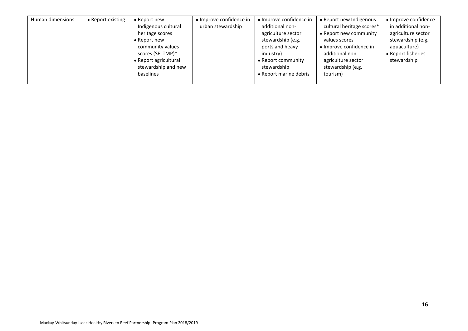| Human dimensions | • Report existing | $\bullet$ Report new  | • Improve confidence in | • Improve confidence in | • Report new Indigenous   | • Improve confidence |
|------------------|-------------------|-----------------------|-------------------------|-------------------------|---------------------------|----------------------|
|                  |                   | Indigenous cultural   | urban stewardship       | additional non-         | cultural heritage scores* | in additional non-   |
|                  |                   | heritage scores       |                         | agriculture sector      | • Report new community    | agriculture sector   |
|                  |                   | • Report new          |                         | stewardship (e.g.       | values scores             | stewardship (e.g.    |
|                  |                   | community values      |                         | ports and heavy         | • Improve confidence in   | aquaculture)         |
|                  |                   | scores (SELTMP)*      |                         | industry)               | additional non-           | • Report fisheries   |
|                  |                   | • Report agricultural |                         | • Report community      | agriculture sector        | stewardship          |
|                  |                   | stewardship and new   |                         | stewardship             | stewardship (e.g.         |                      |
|                  |                   | baselines             |                         | • Report marine debris  | tourism)                  |                      |
|                  |                   |                       |                         |                         |                           |                      |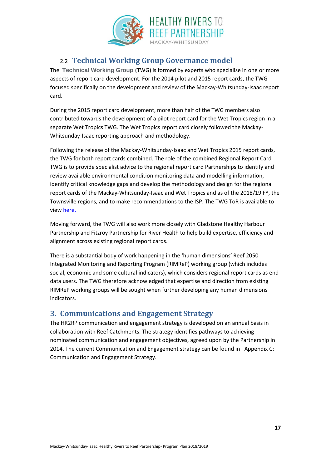![](_page_17_Picture_0.jpeg)

# 2.2 **Technical Working Group Governance model**

The **Technical Working Group (**TWG) is formed by experts who specialise in one or more aspects of report card development. For the 2014 pilot and 2015 report cards, the TWG focused specifically on the development and review of the Mackay-Whitsunday-Isaac report card.

During the 2015 report card development, more than half of the TWG members also contributed towards the development of a pilot report card for the Wet Tropics region in a separate Wet Tropics TWG. The Wet Tropics report card closely followed the Mackay-Whitsunday-Isaac reporting approach and methodology.

Following the release of the Mackay-Whitsunday-Isaac and Wet Tropics 2015 report cards, the TWG for both report cards combined. The role of the combined Regional Report Card TWG is to provide specialist advice to the regional report card Partnerships to identify and review available environmental condition monitoring data and modelling information, identify critical knowledge gaps and develop the methodology and design for the regional report cards of the Mackay-Whitsunday-Isaac and Wet Tropics and as of the 2018/19 FY, the Townsville regions, and to make recommendations to the ISP. The TWG ToR is available to view [here.](http://healthyriverstoreef.org.au/about-us/governance/)

Moving forward, the TWG will also work more closely with Gladstone Healthy Harbour Partnership and Fitzroy Partnership for River Health to help build expertise, efficiency and alignment across existing regional report cards.

There is a substantial body of work happening in the 'human dimensions' Reef 2050 Integrated Monitoring and Reporting Program (RIMReP) working group (which includes social, economic and some cultural indicators), which considers regional report cards as end data users. The TWG therefore acknowledged that expertise and direction from existing RIMReP working groups will be sought when further developing any human dimensions indicators.

## <span id="page-17-0"></span>**3. Communications and Engagement Strategy**

The HR2RP communication and engagement strategy is developed on an annual basis in collaboration with Reef Catchments. The strategy identifies pathways to achieving nominated communication and engagement objectives, agreed upon by the Partnership in 2014. The current Communication and Engagement strategy can be found in Appendix C: Communication and Engagement Strategy.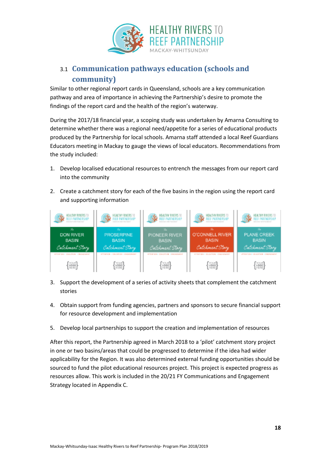![](_page_18_Picture_0.jpeg)

# 3.1 **Communication pathways education (schools and community)**

Similar to other regional report cards in Queensland, schools are a key communication pathway and area of importance in achieving the Partnership's desire to promote the findings of the report card and the health of the region's waterway.

During the 2017/18 financial year, a scoping study was undertaken by Amarna Consulting to determine whether there was a regional need/appetite for a series of educational products produced by the Partnership for local schools. Amarna staff attended a local Reef Guardians Educators meeting in Mackay to gauge the views of local educators. Recommendations from the study included:

- 1. Develop localised educational resources to entrench the messages from our report card into the community
- 2. Create a catchment story for each of the five basins in the region using the report card and supporting information

![](_page_18_Picture_6.jpeg)

- 3. Support the development of a series of activity sheets that complement the catchment stories
- 4. Obtain support from funding agencies, partners and sponsors to secure financial support for resource development and implementation
- 5. Develop local partnerships to support the creation and implementation of resources

After this report, the Partnership agreed in March 2018 to a 'pilot' catchment story project in one or two basins/areas that could be progressed to determine if the idea had wider applicability for the Region. It was also determined external funding opportunities should be sourced to fund the pilot educational resources project. This project is expected progress as resources allow. This work is included in the 20/21 FY Communications and Engagement Strategy located in Appendix C.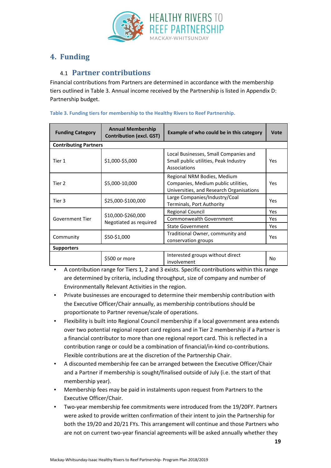![](_page_19_Picture_0.jpeg)

# <span id="page-19-0"></span>**4. Funding**

## 4.1 **Partner contributions**

Financial contributions from Partners are determined in accordance with the membership tiers outlined in Table 3. Annual income received by the Partnership is listed in Appendix D: Partnership budget.

### **Table 3. Funding tiers for membership to the Healthy Rivers to Reef Partnership.**

| <b>Funding Category</b>   | <b>Annual Membership</b><br>Example of who could be in this category<br><b>Contribution (excl. GST)</b> |                                                                                                                | <b>Vote</b> |  |  |  |
|---------------------------|---------------------------------------------------------------------------------------------------------|----------------------------------------------------------------------------------------------------------------|-------------|--|--|--|
|                           | <b>Contributing Partners</b>                                                                            |                                                                                                                |             |  |  |  |
| Tier 1                    | \$1,000-\$5,000                                                                                         | Local Businesses, Small Companies and<br>Small public utilities, Peak Industry<br>Associations                 | Yes         |  |  |  |
| Tier 2                    | \$5,000-10,000                                                                                          | Regional NRM Bodies, Medium<br>Companies, Medium public utilities,<br>Universities, and Research Organisations | Yes         |  |  |  |
| Tier 3                    | \$25,000-\$100,000                                                                                      | Large Companies/Industry/Coal<br>Terminals, Port Authority                                                     | Yes         |  |  |  |
|                           |                                                                                                         | <b>Regional Council</b>                                                                                        | <b>Yes</b>  |  |  |  |
| Government Tier           | \$10,000-\$260,000                                                                                      | <b>Commonwealth Government</b>                                                                                 | <b>Yes</b>  |  |  |  |
|                           | Negotiated as required                                                                                  | <b>State Government</b>                                                                                        | <b>Yes</b>  |  |  |  |
| \$50-\$1,000<br>Community |                                                                                                         | Traditional Owner, community and<br>conservation groups                                                        | <b>Yes</b>  |  |  |  |
| <b>Supporters</b>         |                                                                                                         |                                                                                                                |             |  |  |  |
|                           | \$500 or more                                                                                           | Interested groups without direct<br>involvement                                                                | N٥          |  |  |  |

▪ A contribution range for Tiers 1, 2 and 3 exists. Specific contributions within this range are determined by criteria, including throughput, size of company and number of Environmentally Relevant Activities in the region.

- Private businesses are encouraged to determine their membership contribution with the Executive Officer/Chair annually, as membership contributions should be proportionate to Partner revenue/scale of operations.
- Flexibility is built into Regional Council membership if a local government area extends over two potential regional report card regions and in Tier 2 membership if a Partner is a financial contributor to more than one regional report card. This is reflected in a contribution range or could be a combination of financial/in-kind co-contributions. Flexible contributions are at the discretion of the Partnership Chair.
- A discounted membership fee can be arranged between the Executive Officer/Chair and a Partner if membership is sought/finalised outside of July (i.e. the start of that membership year).
- Membership fees may be paid in instalments upon request from Partners to the Executive Officer/Chair.
- Two-year membership fee commitments were introduced from the 19/20FY. Partners were asked to provide written confirmation of their intent to join the Partnership for both the 19/20 and 20/21 FYs. This arrangement will continue and those Partners who are not on current two-year financial agreements will be asked annually whether they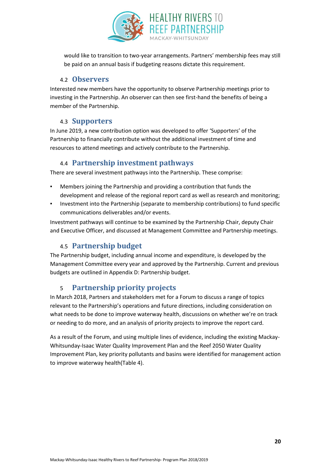![](_page_20_Picture_0.jpeg)

would like to transition to two-year arrangements. Partners' membership fees may still be paid on an annual basis if budgeting reasons dictate this requirement.

## 4.2 **Observers**

Interested new members have the opportunity to observe Partnership meetings prior to investing in the Partnership. An observer can then see first-hand the benefits of being a member of the Partnership.

## 4.3 **Supporters**

In June 2019, a new contribution option was developed to offer 'Supporters' of the Partnership to financially contribute without the additional investment of time and resources to attend meetings and actively contribute to the Partnership.

## 4.4 **Partnership investment pathways**

There are several investment pathways into the Partnership. These comprise:

- Members joining the Partnership and providing a contribution that funds the development and release of the regional report card as well as research and monitoring;
- Investment into the Partnership (separate to membership contributions) to fund specific communications deliverables and/or events.

Investment pathways will continue to be examined by the Partnership Chair, deputy Chair and Executive Officer, and discussed at Management Committee and Partnership meetings.

## 4.5 **Partnership budget**

The Partnership budget, including annual income and expenditure, is developed by the Management Committee every year and approved by the Partnership. Current and previous budgets are outlined in Appendix D: Partnership budget.

## 5 **Partnership priority projects**

In March 2018, Partners and stakeholders met for a Forum to discuss a range of topics relevant to the Partnership's operations and future directions, including consideration on what needs to be done to improve waterway health, discussions on whether we're on track or needing to do more, and an analysis of priority projects to improve the report card.

As a result of the Forum, and using multiple lines of evidence, including the existing Mackay-Whitsunday-Isaac Water Quality Improvement Plan and the Reef 2050 Water Quality Improvement Plan, key priority pollutants and basins were identified for management action to improve waterway health(Table 4).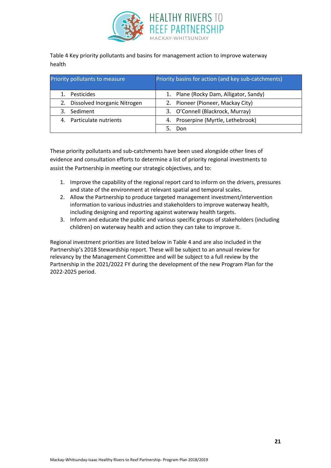![](_page_21_Picture_0.jpeg)

Table 4 Key priority pollutants and basins for management action to improve waterway health

| Priority pollutants to measure     | Priority basins for action (and key sub-catchments) |
|------------------------------------|-----------------------------------------------------|
| Pesticides                         | 1. Plane (Rocky Dam, Alligator, Sandy)              |
| Dissolved Inorganic Nitrogen       | 2. Pioneer (Pioneer, Mackay City)                   |
| Sediment                           | 3. O'Connell (Blackrock, Murray)                    |
| <b>Particulate nutrients</b><br>4. | 4. Proserpine (Myrtle, Lethebrook)                  |
|                                    | Don                                                 |

These priority pollutants and sub-catchments have been used alongside other lines of evidence and consultation efforts to determine a list of priority regional investments to assist the Partnership in meeting our strategic objectives, and to:

- 1. Improve the capability of the regional report card to inform on the drivers, pressures and state of the environment at relevant spatial and temporal scales.
- 2. Allow the Partnership to produce targeted management investment/intervention information to various industries and stakeholders to improve waterway health, including designing and reporting against waterway health targets.
- 3. Inform and educate the public and various specific groups of stakeholders (including children) on waterway health and action they can take to improve it.

Regional investment priorities are listed below in Table 4 and are also included in the Partnership's 2018 Stewardship report. These will be subject to an annual review for relevancy by the Management Committee and will be subject to a full review by the Partnership in the 2021/2022 FY during the development of the new Program Plan for the 2022-2025 period.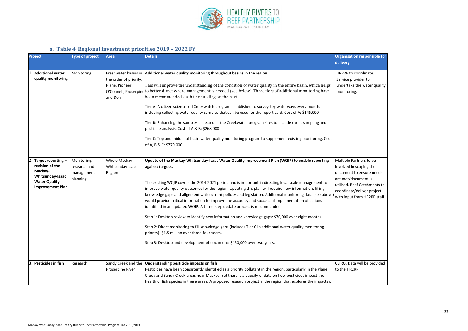| on responsible for |  |  |
|--------------------|--|--|
|--------------------|--|--|

![](_page_22_Picture_0.jpeg)

# **a. Table 4. Regional investment priorities 2019 – 2022 FY**

<span id="page-22-0"></span>

| <b>Project</b>                                                                                                                | <b>Type of project</b>                                | <b>Area</b>                                                                  | <b>Details</b>                                                                                                                                                                                                                                                                                                                                                                                                                                                                                                                                                                                                                                                                                                                                                                                                                                                                                                                                                                            | <b>Organisation responsible for</b><br>delivery                                                                                                                                                      |
|-------------------------------------------------------------------------------------------------------------------------------|-------------------------------------------------------|------------------------------------------------------------------------------|-------------------------------------------------------------------------------------------------------------------------------------------------------------------------------------------------------------------------------------------------------------------------------------------------------------------------------------------------------------------------------------------------------------------------------------------------------------------------------------------------------------------------------------------------------------------------------------------------------------------------------------------------------------------------------------------------------------------------------------------------------------------------------------------------------------------------------------------------------------------------------------------------------------------------------------------------------------------------------------------|------------------------------------------------------------------------------------------------------------------------------------------------------------------------------------------------------|
| <b>Additional water</b><br>quality monitoring                                                                                 | Monitoring                                            | Freshwater basins in<br>the order of priority:<br>Plane, Pioneer,<br>and Don | Additional water quality monitoring throughout basins in the region.<br>This will improve the understanding of the condition of water quality in the entire basin, which helps<br>O'Connell, Proserpinet to better direct where management is needed (see below). Three tiers of additional monitoring have<br>been recommended, each tier building on the next:<br>Tier A: A citizen science led Creekwatch program established to survey key waterways every month,<br>including collecting water quality samples that can be used for the report card. Cost of A: \$145,000<br>Tier B: Enhancing the samples collected at the Creekwatch program sites to include event sampling and<br>pesticide analysis. Cost of A & B: \$268,000<br>Tier C: Top and middle of basin water quality monitoring program to supplement existing monitoring. Cost<br>of A, B & C: \$770,000                                                                                                             | HR2RP to coordinate.<br>Service provider to<br>undertake the water quality<br>monitoring.                                                                                                            |
| 2.<br>Target reporting -<br>revision of the<br>Mackay-<br>Whitsunday-Isaac<br><b>Water Quality</b><br><b>Improvement Plan</b> | Monitoring,<br>research and<br>management<br>planning | Whole Mackay-<br>Whitsunday-Isaac<br>Region                                  | Update of the Mackay-Whitsunday-Isaac Water Quality Improvement Plan (WQIP) to enable reporting<br>against targets.<br>The existing WQIP covers the 2014-2021 period and is important in directing local scale management to<br>improve water quality outcomes for the region. Updating this plan will require new information, filling<br>knowledge gaps and alignment with current policies and legislation. Additional monitoring data (see above)<br>would provide critical information to improve the accuracy and successful implementation of actions<br>identified in an updated WQIP. A three-step update process is recommended:<br>Step 1: Desktop review to identify new information and knowledge gaps: \$70,000 over eight months.<br>Step 2: Direct monitoring to fill knowledge gaps (includes Tier C in additional water quality monitoring<br>priority): \$1.5 million over three-four years.<br>Step 3: Desktop and development of document: \$450,000 over two years. | Multiple Partners to be<br>involved in scoping the<br>document to ensure needs<br>are met/document is<br>utilised. Reef Catchments to<br>coordinate/deliver project,<br>with input from HR2RP staff. |
| <b>Pesticides in fish</b><br>3.                                                                                               | Research                                              | Sandy Creek and the<br><b>Proserpine River</b>                               | Understanding pesticide impacts on fish<br>Pesticides have been consistently identified as a priority pollutant in the region, particularly in the Plane<br>Creek and Sandy Creek areas near Mackay. Yet there is a paucity of data on how pesticides impact the<br>health of fish species in these areas. A proposed research project in the region that explores the impacts of                                                                                                                                                                                                                                                                                                                                                                                                                                                                                                                                                                                                         | CSIRO. Data will be provided<br>to the HR2RP.                                                                                                                                                        |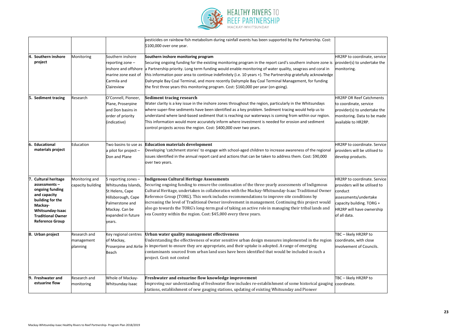oordinate, service to undertake the

Reef Catchments ate, service to undertake the . Data to be made **HR2RP.** 

oordinate. Service vill be utilised to oducts.

oordinate. Service ill be utilised to

ts/undertake  $i$ ilding. TORG + have ownership

HR2RP to , with close nt of Councils.

 $\sqrt{16}$  HR2RP to

![](_page_23_Picture_0.jpeg)

|    |                                                                                                                                                                                      |                                        |                                                                                                                                                            | pesticides on rainbow fish metabolism during rainfall events has been supported by the Partnership. Cost:<br>\$100,000 over one year.                                                                                                                                                                                                                                                                                                                                                                                                                                                                                             |                                                                                                       |
|----|--------------------------------------------------------------------------------------------------------------------------------------------------------------------------------------|----------------------------------------|------------------------------------------------------------------------------------------------------------------------------------------------------------|-----------------------------------------------------------------------------------------------------------------------------------------------------------------------------------------------------------------------------------------------------------------------------------------------------------------------------------------------------------------------------------------------------------------------------------------------------------------------------------------------------------------------------------------------------------------------------------------------------------------------------------|-------------------------------------------------------------------------------------------------------|
|    | Southern inshore<br>project                                                                                                                                                          | Monitoring                             | Southern inshore<br>reporting zone $-$<br>inshore and offshore<br>marine zone east of<br>Carmila and<br>Claireview                                         | Southern inshore monitoring program<br>Securing ongoing funding for the existing monitoring program in the report card's southern inshore zone is provider(s) t<br>a Partnership priority. Long term funding would enable monitoring of water quality, seagrass and coral in<br>this information poor area to continue indefinitely (i.e. 10 years +). The Partnership gratefully acknowledge<br>Dalrymple Bay Coal Terminal, and more recently Dalrymple Bay Coal Terminal Management, for funding<br>the first three years this monitoring program. Cost: \$160,000 per year (on-going).                                        | HR2RP to co<br>monitoring.                                                                            |
| 5. | <b>Sediment tracing</b>                                                                                                                                                              | Research                               | O'Connell, Pioneer,<br>Plane, Proserpine<br>and Don basins in<br>order of priority<br>(indicative)                                                         | Sediment tracing research<br>Water clarity is a key issue in the inshore zones throughout the region, particularly in the Whitsundays<br>where super-fine sediments have been identified as a key problem. Sediment tracing would help us to<br>understand where land-based sediment that is reaching our waterways is coming from within our region.<br>This information would more accurately inform where investment is needed for erosion and sediment<br>control projects across the region. Cost: \$400,000 over two years.                                                                                                 | <b>HR2RP OR R</b><br>to coordinat<br>provider(s) t<br>monitoring.<br>available to                     |
| 6. | <b>Educational</b><br>materials project                                                                                                                                              | Education                              | Two basins to use as<br>a pilot for project $-$<br>Don and Plane                                                                                           | <b>Education materials development</b><br>Developing 'catchment stories' to engage with school-aged children to increase awareness of the regional<br>issues identified in the annual report card and actions that can be taken to address them. Cost: \$90,000<br>over two years.                                                                                                                                                                                                                                                                                                                                                | HR2RP to co<br>providers wi<br>develop pro                                                            |
|    | <b>Cultural heritage</b><br>assessments-<br>ongoing funding<br>and capacity<br>building for the<br>Mackay-<br>Whitsunday-Isaac<br><b>Traditional Owner</b><br><b>Reference Group</b> | Monitoring and<br>capacity building    | 5 reporting zones $-$<br>Whitsunday Islands,<br>St Helens, Cape<br>Hillsborough, Cape<br>Palmerstone and<br>Mackay. Can be<br>expanded in future<br>years. | Indigenous Cultural Heritage Assessments<br>Securing ongoing funding to ensure the continuation of the three-yearly assessments of Indigenous<br>Cultural Heritage, undertaken in collaboration with the Mackay-Whitsunday-Isaac Traditional Owner<br>Reference Group (TORG). This work includes recommendations to improve site conditions by<br>increasing the level of Traditional Owner involvement in management. Continuing this project would<br>also go towards the TORG's long-term goal of taking an active role in managing their tribal lands and<br>sea Country within the region. Cost: \$45,000 every three years. | HR2RP to co<br>providers wi<br>conduct<br>assessments<br>capacity bui<br>HR2RP will h<br>of all data. |
|    | 8. Urban project                                                                                                                                                                     | Research and<br>management<br>planning | Key regional centres<br>of Mackay,<br>Proserpine and Airlie<br><b>Beach</b>                                                                                | Urban water quality management effectiveness<br>Understanding the effectiveness of water sensitive urban design measures implemented in the region<br>is important to ensure they are appropriate, and their uptake is adopted. A range of emerging<br>contaminants sourced from urban land uses have been identified that would be included in such a<br>project. Cost: not costed                                                                                                                                                                                                                                               | TBC - likely<br>coordinate,<br>involvement                                                            |
| 9. | <b>Freshwater and</b><br>estuarine flow                                                                                                                                              | Research and<br>monitoring             | Whole of Mackay-<br>Whitsunday-Isaac                                                                                                                       | Freshwater and estuarine flow knowledge improvement<br>Improving our understanding of freshwater flow includes re-establishment of some historical gauging<br>stations, establishment of new gauging stations, updating of existing Whitsunday and Pioneer                                                                                                                                                                                                                                                                                                                                                                        | TBC - likely<br>coordinate.                                                                           |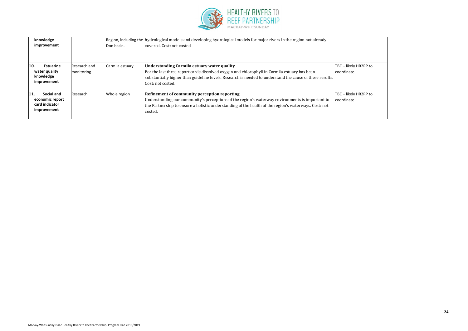![](_page_24_Picture_0.jpeg)

| knowledge<br>improvement                                              |                            | Don basin.      | Region, including the hydrological models and developing hydrological models for major rivers in the region not already<br>covered. Cost: not costed                                                                                                                          |                             |
|-----------------------------------------------------------------------|----------------------------|-----------------|-------------------------------------------------------------------------------------------------------------------------------------------------------------------------------------------------------------------------------------------------------------------------------|-----------------------------|
| 10.<br><b>Estuarine</b><br>water quality<br>knowledge<br>improvement  | Research and<br>monitoring | Carmila estuary | Understanding Carmila estuary water quality<br>For the last three report cards dissolved oxygen and chlorophyll in Carmila estuary has been<br>substantially higher than guideline levels. Research is needed to understand the cause of these results.<br> Cost: not costed. | TBC-likely<br>coordinate.   |
| 11.<br>Social and<br>economic report<br>card indicator<br>improvement | Research                   | Whole region    | <b>Refinement of community perception reporting</b><br>Understanding our community's perceptions of the region's waterway environments is important to<br>the Partnership to ensure a holistic understanding of the health of the region's waterways. Cost: not<br>costed.    | TBC - likely<br>coordinate. |

| TBC – likely HR2RP to |
|-----------------------|
| coordinate.           |
|                       |
|                       |
| TBC – likely HR2RP to |
| coordinate.           |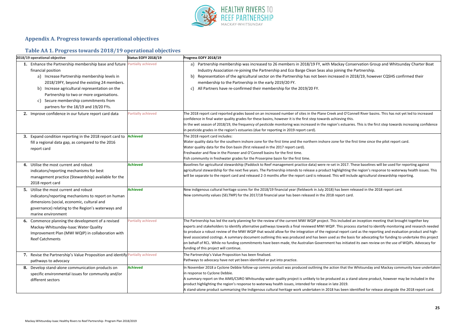## **Sartially and Whitsunday Charter Boat** is also and Mackay Conservation Group and Whitsunday Charter Boat **Partnership.** 018/19, however CQSHS confirmed their

nnell River basins. This has not yet led to increased

es. This is the first step towards increasing confidence

first time since the pilot report card.

These baselines will be used for reporting against the region's response to waterway health issues. This ude agricultural stewardship reporting.

**Achiever 12018** Ferent card for the 2018 report card.

an inception meeting that brought together key ess started to identify monitoring and research needed tard as the reporting and evaluation product and highsis for advocating for funding to undertake this project ed its own review on the use of WQIPs. Advocacy for

**P** Whitsunday and Mackay community have undertaken

and-alone product, however may be included in the

dentified for release alongside the 2018 report card.

![](_page_25_Picture_0.jpeg)

# <span id="page-25-0"></span>**Appendix A. Progress towards operational objectives**

# <span id="page-25-1"></span>**Table AA 1. Progress towards 2018/19 operational objectives**

| 2018/19 operational objective                                                                                                                                                                                                                                                                                                                                                       | Status EOFY 2018/19       | Progress EOFY 2018/19                                                                                                                                                                                                                                                                                                                                                                                                                                                                                                                                                                                |  |  |  |
|-------------------------------------------------------------------------------------------------------------------------------------------------------------------------------------------------------------------------------------------------------------------------------------------------------------------------------------------------------------------------------------|---------------------------|------------------------------------------------------------------------------------------------------------------------------------------------------------------------------------------------------------------------------------------------------------------------------------------------------------------------------------------------------------------------------------------------------------------------------------------------------------------------------------------------------------------------------------------------------------------------------------------------------|--|--|--|
| 1. Enhance the Partnership membership base and future Partially achieved<br>financial position<br>Increase Partnership membership levels in<br>a)<br>2018/19FY, beyond the existing 24 members.<br>b) Increase agricultural representation on the<br>Partnership to two or more organisations.<br>Secure membership commitments from<br>C)<br>partners for the 18/19 and 19/20 FYs. |                           | Partnership membership was increased to 26 members in 2018/19 FY, with Mackay Cons<br>a)<br>Industry Association re-joining the Partnership and Eco Barge Clean Seas also joining the I<br>b) Representation of the agricultural sector on the Partnership has not been increased in 20<br>membership to the Partnership in the early 2019/20 FY.<br>All Partners have re-confirmed their membership for the 2019/20 FY.<br>C)                                                                                                                                                                       |  |  |  |
| 2. Improve confidence in our future report card data                                                                                                                                                                                                                                                                                                                                | <b>Partially achieved</b> | The 2018 report card reported grades based on an increased number of sites in the Plane Creek and O'Coni<br>confidence in final water quality grades for these basins, however it is the first step towards achieving this.<br>In the wet season of 2018/19, the frequency of pesticide monitoring was increased in the region's estuaries<br>in pesticide grades in the region's estuaries (due for reporting in 2019 report card).                                                                                                                                                                 |  |  |  |
| 3. Expand condition reporting in the 2018 report card to<br>fill a regional data gap, as compared to the 2016<br>report card                                                                                                                                                                                                                                                        | <b>Achieved</b>           | The 2018 report card includes:<br>Water quality data for the southern inshore zone for the first time and the northern inshore zone for the fir<br>Water quality data for the Don basin (first released in the 2017 report card).<br>Freshwater and flow in the Pioneer and O'Connell basins for the first time.<br>Fish community in freshwater grades for the Proserpine basin for the first time.                                                                                                                                                                                                 |  |  |  |
| 4. Utilise the most current and robust<br>indicators/reporting mechanisms for best<br>management practice (Stewardship) available for the<br>2018 report card                                                                                                                                                                                                                       | <b>Achieved</b>           | Baselines for agricultural stewardship (Paddock to Reef management practice data) were re-set in 2017. Th<br>agricultural stewardship for the next five years. The Partnership intends to release a product highlighting th<br>will be separate to the report card and released 2-3 months after the report card is released. This will includ                                                                                                                                                                                                                                                       |  |  |  |
| 5. Utilise the most current and robust<br>indicators/reporting mechanisms to report on human<br>dimensions (social, economic, cultural and<br>governance) relating to the Region's waterways and<br>marine environment                                                                                                                                                              | <b>Achieved</b>           | New indigenous cultural heritage scores for the 2018/19 financial year (fieldwork in July 2018) has been rel<br>New community values (SELTMP) for the 2017/18 financial year has been released in the 2018 report card.                                                                                                                                                                                                                                                                                                                                                                              |  |  |  |
| Commence planning the development of a revised<br>6.<br>Mackay-Whitsunday-Isaac Water Quality<br>Improvement Plan (MWI WQIP) in collaboration with<br><b>Reef Catchments</b>                                                                                                                                                                                                        | <b>Partially achieved</b> | The Partnership has led the early planning for the review of the current MWI WQIP project. This included a<br>experts and stakeholders to identify alternative pathways towards a final reviewed MWI WQIP. This proces<br>to produce a robust review of the MWI WQIP that would allow for the integration of the regional report car<br>level associated costings. A summary document outlining this was produced and has been used as the basis<br>on behalf of RCL. While no funding commitments have been made, the Australian Government has initiated<br>funding of this project will continue. |  |  |  |
| 7. Revise the Partnership's Value Proposition and identify Partially achieved<br>pathways to advocacy                                                                                                                                                                                                                                                                               |                           | The Partnership's Value Proposition has been finalised.<br>Pathways to advocacy have not yet been identified or put into practice.                                                                                                                                                                                                                                                                                                                                                                                                                                                                   |  |  |  |
| Develop stand-alone communication products on<br>8.<br>specific environmental issues for community and/or<br>different sectors                                                                                                                                                                                                                                                      | <b>Achieved</b>           | In November 2018 a Cyclone Debbie follow-up comms product was produced outlining the action that the '<br>in response to Cyclone Debbie.<br>A summary report on the AIMS/CSIRO Whitsunday water quality project is unlikely to be produced as a star<br>product highlighting the region's response to waterway health issues, intended for release in late 2019.<br>A stand-alone product summarising the Indigenous cultural heritage work undertaken in 2018 has been ide                                                                                                                          |  |  |  |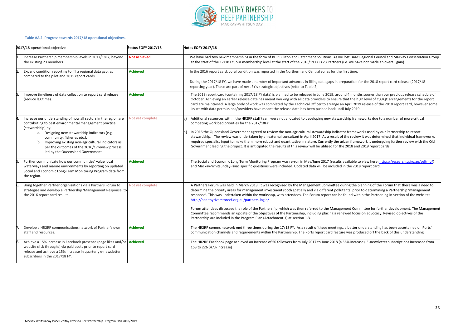aac Regional Council and Mackay Conservation Group have not made an overall gain).

on for the 2018 report card release (2017/18

onths sooner than our previous release schedule of e high level of QA/QC arrangements for the report 2019 release of the 2018 report card, however some

rameworks due to a number of more critical

neworks used by our Partnership to report view it was determined that individual frameworks amework is undergoing further review with the Qld and 2019 report cards.

**Achieved** The Social and Economic Long Term Monitoring *Due to view here:* [https://research.csiro.au/seltmp/\)](https://research.csiro.au/seltmp/) 2018 report card.

he planning of the Forum that there was a need to prior to determining a Partnership 'management within the Partner log in section of the website:

Committee for further development. The Management  $\vert$ ocus on advocacy. Revised objectives of the

ter understanding has been ascertained on Ports' produced off the back of this understanding.

crease). E-newsletter subscriptions increased from

![](_page_26_Picture_0.jpeg)

#### **Table AA 2. Progress towards 2017/18 operational objectives.**

| 2017/18 operational objective |                                                                                                                                                                                                                                                                                                                                                                                  | Status EOFY 2017/18 | <b>Notes EOFY 2017/18</b>                                                                                                                                                                                                                                                                                                                                                                                                                                                                                                                                                                                                                                                           |  |  |  |  |
|-------------------------------|----------------------------------------------------------------------------------------------------------------------------------------------------------------------------------------------------------------------------------------------------------------------------------------------------------------------------------------------------------------------------------|---------------------|-------------------------------------------------------------------------------------------------------------------------------------------------------------------------------------------------------------------------------------------------------------------------------------------------------------------------------------------------------------------------------------------------------------------------------------------------------------------------------------------------------------------------------------------------------------------------------------------------------------------------------------------------------------------------------------|--|--|--|--|
|                               | Increase Partnership membership levels in 2017/18FY, beyond<br>the existing 23 members.                                                                                                                                                                                                                                                                                          | <b>Not achieved</b> | We have had two new memberships in the form of BHP Billiton and Catchment Solutions. As we lost Isaac R<br>at the start of the 17/18 FY, our membership level at the start of the 2018/19 FY is 23 Partners (i.e. we have                                                                                                                                                                                                                                                                                                                                                                                                                                                           |  |  |  |  |
|                               | Expand condition reporting to fill a regional data gap, as<br>compared to the pilot and 2015 report cards.                                                                                                                                                                                                                                                                       | <b>Achieved</b>     | In the 2016 report card, coral condition was reported in the Northern and Central zones for the first time.<br>During the 2017/18 FY, we have made a number of important advances in filling data gaps in preparation fo<br>reporting year). These are part of next FY's strategic objectives (refer to Table 2).                                                                                                                                                                                                                                                                                                                                                                   |  |  |  |  |
|                               | Improve timeliness of data collection to report card release<br>(reduce lag time).                                                                                                                                                                                                                                                                                               | <b>Achieved</b>     | The 2018 report card (containing 2017/18 FY data) is planned to be released in June 2019, around 4 month<br>October. Achieving an earlier release date has meant working with all data providers to ensure that the hig<br>card are maintained. A large body of work was completed by the Technical Officer to arrange an April 2019<br>issues with data permissions/providers have meant the release date has been pushed back until July 2019.                                                                                                                                                                                                                                    |  |  |  |  |
|                               | Increase our understanding of how all sectors in the region are<br>contributing to best environmental management practice<br>(stewardship) by:<br>a. Designing new stewardship indicators (e.g.<br>community, fisheries etc.).<br>Improving existing non-agricultural indicators as<br>b.<br>per the outcomes of the 2016/17 review process<br>led by the Queensland Government. | Not yet complete    | Additional resources within the HR2RP staff team were not allocated to developing new stewardship frame<br>competing workload priorities for the 2017/18FY.<br>In 2016 the Queensland Government agreed to review the non-agricultural stewardship indicator framewo<br>stewardship. The review was undertaken by an external consultant in April 2017. As a result of the review<br>required specialist input to make them more robust and quantitative in nature. Currently the urban framev<br>Government leading the project. It is anticipated the results of this review will be utilised for the 2018 and                                                                    |  |  |  |  |
|                               | Further communicate how our communities' value local<br>waterways and marine environments by reporting on updated<br>Social and Economic Long-Term Monitoring Program data from<br>the region.                                                                                                                                                                                   | <b>Achieved</b>     | The Social and Economic Long Term Monitoring Program was re-run in May/June 2017 (results available to<br>and Mackay-Whitsunday-Isaac specific questions were included. Updated data will be included in the 2018                                                                                                                                                                                                                                                                                                                                                                                                                                                                   |  |  |  |  |
| 6                             | Bring together Partner organisations via a Partners Forum to<br>strategise and develop a Partnership 'Management Response' to<br>the 2016 report card results.                                                                                                                                                                                                                   | Not yet complete    | A Partners Forum was held in March 2018. It was recognised by the Management Committee during the pl<br>determine the priority areas for management investment (both spatially and via different pollutants) prior<br>response'. This was undertaken within the workshop, with attendees. The Forum report can be found with<br>http://healthyriverstoreef.org.au/partners-login/<br>Forum attendees discussed the role of the Partnership, which was then referred to the Management Comn<br>Committee recommends an update of the objectives of the Partnership, including placing a renewed focus<br>Partnership are included in the Program Plan (Attachment 1) at section 1.3. |  |  |  |  |
|                               | Develop a HR2RP communications network of Partner's own<br>staff and resources.                                                                                                                                                                                                                                                                                                  | <b>Achieved</b>     | The HR2RP comms network met three times during the 17/18 FY. As a result of these meetings, a better un<br>communication channels and requirements within the Partnership. The Ports report card feature was prod                                                                                                                                                                                                                                                                                                                                                                                                                                                                   |  |  |  |  |
| 8.                            | Achieve a 15% increase in Facebook presence (page likes and/or<br>website click throughs) via paid posts prior to report card<br>release and achieve a 15% increase in quarterly e-newsletter<br>subscribers in the 2017/18 FY.                                                                                                                                                  | <b>Achieved</b>     | The HR2RP Facebook page achieved an increase of 50 followers from July 2017 to June 2018 (a 56% increase<br>153 to 226 (47% increase)                                                                                                                                                                                                                                                                                                                                                                                                                                                                                                                                               |  |  |  |  |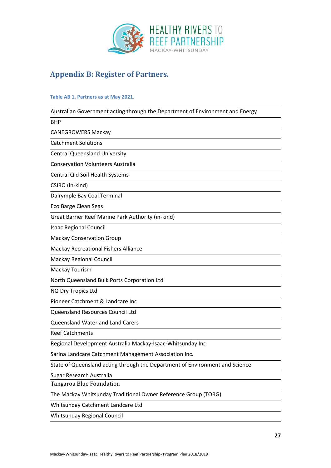![](_page_27_Picture_0.jpeg)

# <span id="page-27-0"></span>**Appendix B: Register of Partners.**

#### **Table AB 1. Partners as at May 2021.**

| Australian Government acting through the Department of Environment and Energy |
|-------------------------------------------------------------------------------|
| <b>BHP</b>                                                                    |
| <b>CANEGROWERS Mackay</b>                                                     |
| <b>Catchment Solutions</b>                                                    |
| Central Queensland University                                                 |
| <b>Conservation Volunteers Australia</b>                                      |
| Central Qld Soil Health Systems                                               |
| CSIRO (in-kind)                                                               |
| Dalrymple Bay Coal Terminal                                                   |
| Eco Barge Clean Seas                                                          |
| Great Barrier Reef Marine Park Authority (in-kind)                            |
| <b>Isaac Regional Council</b>                                                 |
| <b>Mackay Conservation Group</b>                                              |
| Mackay Recreational Fishers Alliance                                          |
| Mackay Regional Council                                                       |
| Mackay Tourism                                                                |
| North Queensland Bulk Ports Corporation Ltd                                   |
| NQ Dry Tropics Ltd                                                            |
| Pioneer Catchment & Landcare Inc                                              |
| Queensland Resources Council Ltd                                              |
| Queensland Water and Land Carers                                              |
| <b>Reef Catchments</b>                                                        |
| Regional Development Australia Mackay-Isaac-Whitsunday Inc                    |
| Sarina Landcare Catchment Management Association Inc.                         |
| State of Queensland acting through the Department of Environment and Science  |
| Sugar Research Australia                                                      |
| Tangaroa Blue Foundation                                                      |
| The Mackay Whitsunday Traditional Owner Reference Group (TORG)                |
| Whitsunday Catchment Landcare Ltd                                             |
| Whitsunday Regional Council                                                   |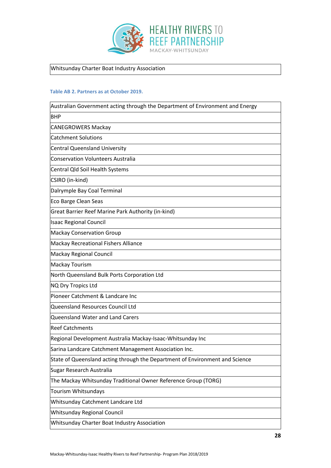![](_page_28_Picture_0.jpeg)

## Whitsunday Charter Boat Industry Association

#### **Table AB 2. Partners as at October 2019.**

| Australian Government acting through the Department of Environment and Energy |
|-------------------------------------------------------------------------------|
| <b>BHP</b>                                                                    |
| <b>CANEGROWERS Mackay</b>                                                     |
| <b>Catchment Solutions</b>                                                    |
| Central Queensland University                                                 |
| Conservation Volunteers Australia                                             |
| Central Qld Soil Health Systems                                               |
| CSIRO (in-kind)                                                               |
| Dalrymple Bay Coal Terminal                                                   |
| Eco Barge Clean Seas                                                          |
| Great Barrier Reef Marine Park Authority (in-kind)                            |
| <b>Isaac Regional Council</b>                                                 |
| <b>Mackay Conservation Group</b>                                              |
| Mackay Recreational Fishers Alliance                                          |
| <b>Mackay Regional Council</b>                                                |
| Mackay Tourism                                                                |
| North Queensland Bulk Ports Corporation Ltd                                   |
| NQ Dry Tropics Ltd                                                            |
| Pioneer Catchment & Landcare Inc                                              |
| Queensland Resources Council Ltd                                              |
| Queensland Water and Land Carers                                              |
| <b>Reef Catchments</b>                                                        |
| Regional Development Australia Mackay-Isaac-Whitsunday Inc                    |
| Sarina Landcare Catchment Management Association Inc.                         |
| State of Queensland acting through the Department of Environment and Science  |
| Sugar Research Australia                                                      |
| The Mackay Whitsunday Traditional Owner Reference Group (TORG)                |
| Tourism Whitsundays                                                           |
| Whitsunday Catchment Landcare Ltd                                             |
| <b>Whitsunday Regional Council</b>                                            |
| Whitsunday Charter Boat Industry Association                                  |

**28**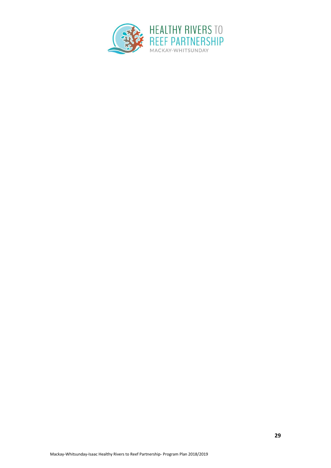![](_page_29_Picture_0.jpeg)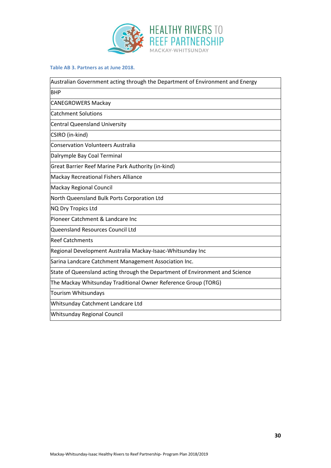![](_page_30_Picture_0.jpeg)

#### **Table AB 3. Partners as at June 2018.**

| Australian Government acting through the Department of Environment and Energy |
|-------------------------------------------------------------------------------|
| <b>BHP</b>                                                                    |
| <b>CANEGROWERS Mackay</b>                                                     |
| <b>Catchment Solutions</b>                                                    |
| <b>Central Queensland University</b>                                          |
| CSIRO (in-kind)                                                               |
| Conservation Volunteers Australia                                             |
| Dalrymple Bay Coal Terminal                                                   |
| Great Barrier Reef Marine Park Authority (in-kind)                            |
| Mackay Recreational Fishers Alliance                                          |
| Mackay Regional Council                                                       |
| North Queensland Bulk Ports Corporation Ltd                                   |
| <b>NQ Dry Tropics Ltd</b>                                                     |
| Pioneer Catchment & Landcare Inc                                              |
| Queensland Resources Council Ltd                                              |
| <b>Reef Catchments</b>                                                        |
| Regional Development Australia Mackay-Isaac-Whitsunday Inc                    |
| Sarina Landcare Catchment Management Association Inc.                         |
| State of Queensland acting through the Department of Environment and Science  |
| The Mackay Whitsunday Traditional Owner Reference Group (TORG)                |
| Tourism Whitsundays                                                           |
| Whitsunday Catchment Landcare Ltd                                             |
| <b>Whitsunday Regional Council</b>                                            |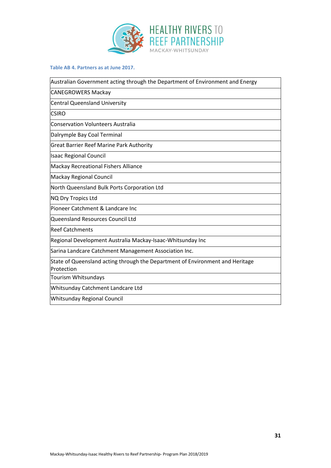![](_page_31_Picture_0.jpeg)

#### **Table AB 4. Partners as at June 2017.**

| Australian Government acting through the Department of Environment and Energy                      |
|----------------------------------------------------------------------------------------------------|
| <b>CANEGROWERS Mackay</b>                                                                          |
| <b>Central Queensland University</b>                                                               |
| <b>CSIRO</b>                                                                                       |
| <b>Conservation Volunteers Australia</b>                                                           |
| Dalrymple Bay Coal Terminal                                                                        |
| <b>Great Barrier Reef Marine Park Authority</b>                                                    |
| <b>Isaac Regional Council</b>                                                                      |
| Mackay Recreational Fishers Alliance                                                               |
| Mackay Regional Council                                                                            |
| North Queensland Bulk Ports Corporation Ltd                                                        |
| <b>NQ Dry Tropics Ltd</b>                                                                          |
| Pioneer Catchment & Landcare Inc                                                                   |
| Queensland Resources Council Ltd                                                                   |
| <b>Reef Catchments</b>                                                                             |
| Regional Development Australia Mackay-Isaac-Whitsunday Inc                                         |
| Sarina Landcare Catchment Management Association Inc.                                              |
| State of Queensland acting through the Department of Environment and Heritage<br><b>Protection</b> |
| Tourism Whitsundays                                                                                |
| Whitsunday Catchment Landcare Ltd                                                                  |
| <b>Whitsunday Regional Council</b>                                                                 |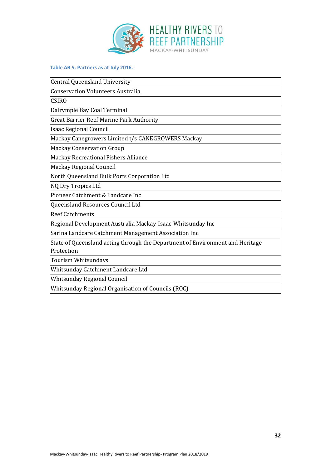![](_page_32_Picture_0.jpeg)

#### **Table AB 5. Partners as at July 2016.**

| Central Queensland University                                                 |
|-------------------------------------------------------------------------------|
| Conservation Volunteers Australia                                             |
| <b>CSIRO</b>                                                                  |
| Dalrymple Bay Coal Terminal                                                   |
| <b>Great Barrier Reef Marine Park Authority</b>                               |
| <b>Isaac Regional Council</b>                                                 |
| Mackay Canegrowers Limited t/s CANEGROWERS Mackay                             |
| <b>Mackay Conservation Group</b>                                              |
| Mackay Recreational Fishers Alliance                                          |
| Mackay Regional Council                                                       |
| North Queensland Bulk Ports Corporation Ltd                                   |
| NQ Dry Tropics Ltd                                                            |
| Pioneer Catchment & Landcare Inc                                              |
| Queensland Resources Council Ltd                                              |
| <b>Reef Catchments</b>                                                        |
| Regional Development Australia Mackay-Isaac-Whitsunday Inc                    |
| Sarina Landcare Catchment Management Association Inc.                         |
| State of Queensland acting through the Department of Environment and Heritage |
| Protection                                                                    |
| Tourism Whitsundays                                                           |
| Whitsunday Catchment Landcare Ltd                                             |
| Whitsunday Regional Council                                                   |
| Whitsunday Regional Organisation of Councils (ROC)                            |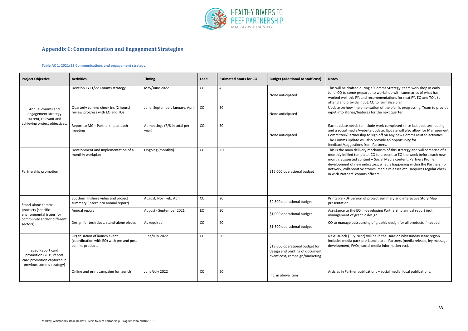fted during a 'Comms Strategy' team workshop in early ne prepared to workshop with summaries of what has is FY, and recommendations for next FY. EO and TO's to vide input. CO to formalise plan.

If implementation of the plan is progressing. Team to provide es/features for the next quarter.

eeds to include work completed since last update/meeting edia/website update. Update will also allow for Management rtnership to sign off on any new Comms related activities. date will also provide an opportunity for estions from Partners.

n delivery mechanism of this strategy and will comprise of a I template. CO to present to EO the week before each new ted content – Social Media content, Partners Profile, f new indicators, what is happening within the Partnership oorative stories, media releases etc. Requires regular check s' comms officers .

version of project summary and interactive Story Map

he EO in developing Partnership annual report incl. <sup>e</sup> graphic design

outsourcing of graphic design for all products if needed

Ily 2022) will be in the Isaac or Whitsunday Isaac region. Includes pre-launch to all Partners (media release, ley message FAQs, social media information etc).

her publications + social media, local publications.

![](_page_33_Picture_0.jpeg)

# <span id="page-33-0"></span>**Appendix C: Communication and Engagement Strategies**

#### **Table AC 1. 2021/22 Communications and engagement strategy.**

| <b>Project Objective</b>                                                                             | <b>Activities</b>                                                                          | <b>Timing</b>                          | Lead | <b>Estimated hours for CO</b> | <b>Budget (additional to staff cost)</b>                                                              | <b>Notes</b>                                                                                                    |
|------------------------------------------------------------------------------------------------------|--------------------------------------------------------------------------------------------|----------------------------------------|------|-------------------------------|-------------------------------------------------------------------------------------------------------|-----------------------------------------------------------------------------------------------------------------|
|                                                                                                      | Develop FY21/22 Comms strategy                                                             | May/June 2022                          | CO   | 4                             | None anticipated                                                                                      | This will be draf<br>June. CO to com<br>worked well this<br>attend and prov                                     |
| Annual comms and<br>engagement strategy<br>current, relevant and                                     | Quarterly comms check ins (2 hours)<br>review progress with EO and TOs                     | June, September, January, April        | CO   | 30                            | None anticipated                                                                                      | Update on how<br>input into storie                                                                              |
| achieving project objectives.                                                                        | Report to MC + Partnership at each<br>meeting                                              | At meetings (7/8 in total per<br>year) | CO   | 30                            | None anticipated                                                                                      | Each update ne<br>and a social me<br>Committee/Par<br>The Comms upo<br>feedback/sugge                           |
| Partnership promotion                                                                                | Development and implementation of a<br>monthly workplan                                    | Ongoing (monthly).                     | CO   | 250                           | \$15,000 operational budget                                                                           | This is the main<br>monthly infilled<br>month. Suggest<br>development of<br>network, collab<br>in with Partners |
| Stand-alone comms                                                                                    | Southern Inshore video and project<br>summary (insert into annual report)                  | August, Nov, Feb, April                | CO   | 20                            | \$2,500 operational budget                                                                            | Printable PDF ve<br>presentation.                                                                               |
| products (specific<br>environmental issues for                                                       | Annual report                                                                              | August - September 2021                | EO   | 20                            | \$1,000 operational budget                                                                            | Assistance to th<br>management of                                                                               |
| community and/or different<br>sectors)                                                               | Design for tech docs, stand-alone pieces                                                   | As required                            | CO   | 20                            | \$1,500 operational budget                                                                            | CO to manage c                                                                                                  |
| 2020 Report card<br>promotion (2019 report<br>card promotion captured in<br>previous comms strategy) | Organisation of launch event<br>(coordination with EO) with pre and post<br>comms products | June/July 2022                         | CO   | 50                            | \$13,000 operational budget for<br>design and printing of document,<br>event cost, campaign/marketing | Next launch (Jul<br>Includes media<br>development, F                                                            |
|                                                                                                      | Online and print campaign for launch                                                       | June/July 2022                         | CO   | 50                            | Inc. in above item                                                                                    | Articles in Partn                                                                                               |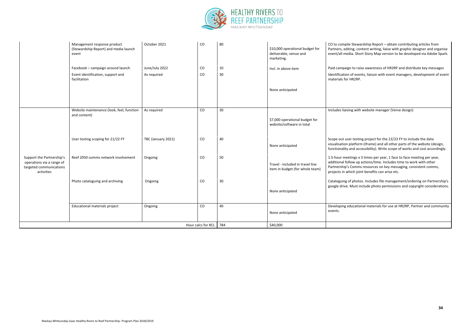tewardship Report – obtain contributing articles from g, content writing, liaise with graphic designer and organise . Short Story Map version to be developed via Adobe Spark.

o raise awareness of HR2RP and distribute key messages

ievents, liaison with event managers, development of event R<sub>2</sub>RP.

with website manager (Verve design)

testing project for the 22/23 FY to include the data itform (iframe) and all other parts of the website (design, d accessibility). Write scope of works and cost accordingly.

1gs x 3 times per year, 1 face to face meeting per year, w up actions/time. Includes time to work with other omms resources on key messaging, consistent comms, h joint benefits can arise etc.

bhotos. Includes file management/ordering on Partnership's ust include photo permissions and copyright considerations.

cational materials for use at HR2RP, Partner and community

![](_page_34_Picture_0.jpeg)

|                                                                                                 | Management response product<br>(Stewardship Report) and media launch<br>event | October 2021       | CO                 | 80  | \$10,000 operational budget for<br>deliverable, venue and<br>marketing. | CO to compile St<br>Partners, editing<br>event/all media.                     |
|-------------------------------------------------------------------------------------------------|-------------------------------------------------------------------------------|--------------------|--------------------|-----|-------------------------------------------------------------------------|-------------------------------------------------------------------------------|
|                                                                                                 | Facebook - campaign around launch                                             | June/July 2022     | CO                 | 10  | Incl. in above item                                                     | Paid campaign to                                                              |
|                                                                                                 | Event identification, support and<br>facilitation                             | As required        | CO                 | 30  | None anticipated                                                        | Identification of<br>materials for HR                                         |
|                                                                                                 | Website maintenance (look, feel, function<br>and content)                     | As required        | CO                 | 30  | \$7,000 operational budget for<br>website/software in total             | Includes liaising                                                             |
|                                                                                                 | User testing scoping for 21/22 FY                                             | TBC (January 2021) | CO                 | 40  | None anticipated                                                        | Scope out user t<br>visualisation plat<br>functionality and                   |
| Support the Partnership's<br>operations via a range of<br>targeted communications<br>activities | Reef 2050 comms network involvement                                           | Ongoing            | CO                 | 50  | Travel - included in travel line<br>item in budget (for whole team)     | 1.5-hour meetin<br>additional follow<br>Partnership's Co<br>projects in which |
|                                                                                                 | Photo cataloguing and archiving                                               | Ongoing            | CO                 | 30  | None anticipated                                                        | Cataloguing of p<br>google drive. Mu                                          |
|                                                                                                 | Educational materials project                                                 | Ongoing            | CO                 | 40  | None anticipated                                                        | Developing educ<br>events.                                                    |
|                                                                                                 |                                                                               |                    | Hour calcs for RCL | 784 | \$40,000                                                                |                                                                               |
|                                                                                                 |                                                                               |                    |                    |     |                                                                         |                                                                               |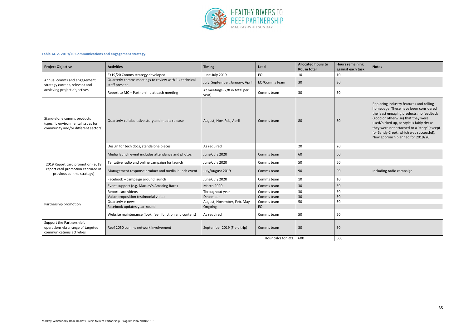![](_page_35_Picture_0.jpeg)

#### **Table AC 2. 2019/20 Communications and engagement strategy.**

| <b>Project Objective</b>                                                                                | <b>Activities</b>                                                      | <b>Timing</b>                          | Lead          | <b>Allocated hours to</b><br><b>RCL</b> in total | <b>Hours remaining</b><br>against each task | <b>Notes</b>                                                                                                                                                                                                                                                                                                                                  |
|---------------------------------------------------------------------------------------------------------|------------------------------------------------------------------------|----------------------------------------|---------------|--------------------------------------------------|---------------------------------------------|-----------------------------------------------------------------------------------------------------------------------------------------------------------------------------------------------------------------------------------------------------------------------------------------------------------------------------------------------|
|                                                                                                         | FY19/20 Comms strategy developed                                       | June-July 2019                         | EO            | 10                                               | 10                                          |                                                                                                                                                                                                                                                                                                                                               |
| Annual comms and engagement<br>strategy current, relevant and                                           | Quarterly comms meetings to review with 1 x technical<br>staff present | July, September, January, April        | EO/Comms team | 30                                               | 30                                          |                                                                                                                                                                                                                                                                                                                                               |
| achieving project objectives                                                                            | Report to MC + Partnership at each meeting                             | At meetings (7/8 in total per<br>year) | Comms team    | 30                                               | 30                                          |                                                                                                                                                                                                                                                                                                                                               |
| Stand-alone comms products<br>(specific environmental issues for<br>community and/or different sectors) | Quarterly collaborative story and media release                        | August, Nov, Feb, April                | Comms team    | 80                                               | 80                                          | Replacing Industry features and rolling<br>homepage. These have been considered<br>the least engaging products; no feedback<br>(good or otherwise) that they were<br>used/picked up, as style is fairly dry as<br>they were not attached to a 'story' (except<br>for Sandy Creek, which was successful).<br>New approach planned for 2019/20. |
|                                                                                                         | Design for tech docs, standalone pieces                                | As required                            |               | 20                                               | 20                                          |                                                                                                                                                                                                                                                                                                                                               |
|                                                                                                         | Media launch event includes attendance and photos.                     | June/July 2020                         | Comms team    | 60                                               | 60                                          |                                                                                                                                                                                                                                                                                                                                               |
| 2019 Report card promotion (2018                                                                        | Tentative radio and online campaign for launch                         | June/July 2020                         | Comms team    | 50                                               | 50                                          |                                                                                                                                                                                                                                                                                                                                               |
| report card promotion captured in<br>previous comms strategy)                                           | Management response product and media launch event                     | July/August 2019                       | Comms team    | 90                                               | 90                                          | Including radio campaign.                                                                                                                                                                                                                                                                                                                     |
|                                                                                                         | Facebook - campaign around launch                                      | June/July 2020                         | Comms team    | 10                                               | 10                                          |                                                                                                                                                                                                                                                                                                                                               |
|                                                                                                         | Event support (e.g. Mackay's Amazing Race)                             | <b>March 2020</b>                      | Comms team    | 30                                               | 30                                          |                                                                                                                                                                                                                                                                                                                                               |
|                                                                                                         | Report card videos                                                     | Throughout year                        | Comms team    | 30                                               | 30                                          |                                                                                                                                                                                                                                                                                                                                               |
|                                                                                                         | Value proposition testimonial video                                    | December                               | Comms team    | 30                                               | 30                                          |                                                                                                                                                                                                                                                                                                                                               |
|                                                                                                         | Quarterly e-news                                                       | August, November, Feb, May             | Comms team    | 50                                               | 50                                          |                                                                                                                                                                                                                                                                                                                                               |
| Partnership promotion                                                                                   | Facebook updates year-round                                            | Ongoing                                | EO            |                                                  |                                             |                                                                                                                                                                                                                                                                                                                                               |
|                                                                                                         | Website maintenance (look, feel, function and content)                 | As required                            | Comms team    | 50                                               | 50                                          |                                                                                                                                                                                                                                                                                                                                               |
| Support the Partnership's<br>operations via a range of targeted<br>communications activities            | Reef 2050 comms network involvement                                    | September 2019 (Field trip)            | Comms team    | 30                                               | 30                                          |                                                                                                                                                                                                                                                                                                                                               |
|                                                                                                         |                                                                        | 600                                    | 600           |                                                  |                                             |                                                                                                                                                                                                                                                                                                                                               |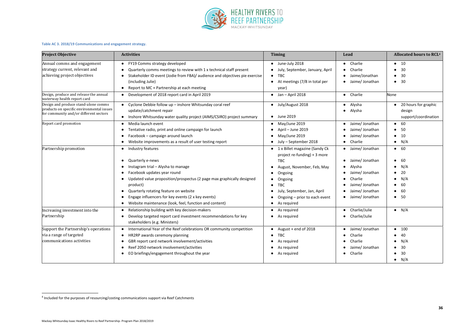![](_page_36_Picture_0.jpeg)

### **Table AC 3. 2018/19 Communications and engagement strategy.**

| <b>Project Objective</b>                                                                                                    | <b>Activities</b>                                                                                                                                                                                                                                                                                                                                        | <b>Timing</b>                                                                                                                                                                                                                                 | Lead                                                                                                                                                                    | <b>Allocated hours to RCL<sup>4</sup></b>                                                   |
|-----------------------------------------------------------------------------------------------------------------------------|----------------------------------------------------------------------------------------------------------------------------------------------------------------------------------------------------------------------------------------------------------------------------------------------------------------------------------------------------------|-----------------------------------------------------------------------------------------------------------------------------------------------------------------------------------------------------------------------------------------------|-------------------------------------------------------------------------------------------------------------------------------------------------------------------------|---------------------------------------------------------------------------------------------|
| Annual comms and engagement<br>strategy current, relevant and<br>achieving project objectives                               | FY19 Comms strategy developed<br>$\bullet$<br>Quarterly comms meetings to review with 1 x technical staff present<br>Stakeholder ID event (Jodie from FBA)/ audience and objectives pie exercise<br>(including Julie)<br>Report to MC + Partnership at each meeting                                                                                      | $\bullet$ June-July 2018<br>July, September, January, April<br>$\bullet$ TBC<br>At meetings (7/8 in total per<br>$\bullet$<br>year)                                                                                                           | Charlie<br>$\bullet$<br>Charlie<br>$\bullet$<br>Jaime/Jonathan<br>Jaime/ Jonathan                                                                                       | $\bullet$ 10<br>- 30<br>- 30<br>- 30<br>$\bullet$                                           |
| Design, produce and release the annual<br>waterway health report card                                                       | Development of 2018 report card in April 2019                                                                                                                                                                                                                                                                                                            | $\bullet$ Jan - April 2018                                                                                                                                                                                                                    | • Charlie                                                                                                                                                               | None                                                                                        |
| Design and produce stand-alone comms<br>products on specific environmental issues<br>for community and/or different sectors | Cyclone Debbie follow up - inshore Whitsunday coral reef<br>update/catchment repair<br>Inshore Whitsunday water quality project (AIMS/CSIRO) project summary<br>$\bullet$                                                                                                                                                                                | • July/August 2018<br>$\bullet$ June 2019                                                                                                                                                                                                     | • Alysha<br>Alysha<br>$\bullet$                                                                                                                                         | • 20 hours for graphic<br>design<br>support/coordination                                    |
| Report card promotion                                                                                                       | Media launch event<br>Tentative radio, print and online campaign for launch<br>Facebook - campaign around launch<br>Website improvements as a result of user testing report                                                                                                                                                                              | May/June 2019<br>April - June 2019<br>May/June 2019<br>July - September 2018                                                                                                                                                                  | Jaime/ Jonathan<br>$\bullet$<br>Jaime/ Jonathan<br>Jaime/ Jonathan<br>Charlie<br>$\bullet$                                                                              | - 60<br>$\bullet$<br>- 50<br>- 10<br>$\bullet$<br>$\bullet$ N/A                             |
| Partnership promotion                                                                                                       | Industry features<br>Quarterly e-news<br>Instagram trial - Alysha to manage<br>Facebook updates year round<br>Updated value proposition/prospectus (2 page max graphically designed<br>product)<br>Quarterly rotating feature on website<br>Engage influencers for key events (2 x key events)<br>Website maintenance (look, feel, function and content) | • 1 x Billet magazine (Sandy Ck<br>project re-funding) + 3 more<br><b>TBC</b><br>August, November, Feb, May<br>Ongoing<br>Ongoing<br><b>TBC</b><br>$\bullet$<br>July, September, Jan, April<br>Ongoing - prior to each event<br>• As required | Jaime/Jonathan<br>$\bullet$<br>Jaime/Jonathan<br>$\bullet$<br>Alysha<br>Jaime/ Jonathan<br>Charlie<br>Jaime/ Jonathan<br>Jaime/ Jonathan<br>Jaime/Jonathan<br>$\bullet$ | • 60<br>-60<br>$\bullet$<br>N/A<br>$\bullet$<br>20<br>N/A<br>$\bullet$<br>60<br>-60<br>• 50 |
| Increasing investment into the<br>Partnership                                                                               | Relationship building with key decision-makers<br>Develop targeted report card investment recommendations for key<br>stakeholders (e.g. Ministers)                                                                                                                                                                                                       | • As required<br>As required                                                                                                                                                                                                                  | Charlie/Julie<br>$\bullet$<br>Charlie/Julie<br>$\bullet$                                                                                                                | $\bullet$ N/A                                                                               |
| Support the Partnership's operations<br>via a range of targeted<br>communications activities                                | International Year of the Reef celebrations OR community competition<br>$\bullet$<br>HR2RP awards ceremony planning<br>$\bullet$<br>GBR report card network involvement/activities<br>$\bullet$<br>Reef 2050 network involvement/activities<br>$\bullet$<br>EO briefings/engagement throughout the year<br>$\bullet$                                     | • August + end of 2018<br>$\bullet$ TBC<br>As required<br>$\bullet$<br>As required<br>As required<br>$\bullet$                                                                                                                                | Jaime/Jonathan<br>$\bullet$<br>Charlie<br>$\bullet$<br>• Charlie<br>Jaime/Jonathan<br>$\bullet$<br>• Charlie                                                            | 100<br>40<br>N/A<br>30<br>30<br>$\bullet$ N/A                                               |

<sup>&</sup>lt;sup>4</sup> Included for the purposes of resourcing/costing communications support via Reef Catchments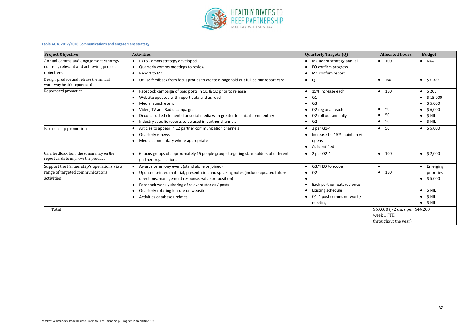![](_page_37_Picture_0.jpeg)

## **Table AC 4. 2017/2018 Communications and engagement strategy.**

| <b>Project Objective</b>                                              | <b>Activities</b>                                                                              | <b>Quarterly Targets (Q)</b> | <b>Allocated hours</b>                 | <b>Budget</b>         |
|-----------------------------------------------------------------------|------------------------------------------------------------------------------------------------|------------------------------|----------------------------------------|-----------------------|
| Annual comms and engagement strategy                                  | FY18 Comms strategy developed                                                                  | MC adopt strategy annual     | $\bullet$ 100                          | $\bullet$ N/A         |
| current, relevant and achieving project                               | Quarterly comms meetings to review<br>$\bullet$                                                | EO confirm progress          |                                        |                       |
| objectives                                                            | Report to MC<br>$\bullet$                                                                      | MC confirm report            |                                        |                       |
| Design, produce and release the annual<br>waterway health report card | Utilise feedback from focus groups to create 8-page fold out full colour report card           | $\bullet$ Q1                 | $\bullet$ 150                          | $\bullet$ \$6,000     |
| Report card promotion                                                 | Facebook campaign of paid posts in Q1 & Q2 prior to release<br>$\bullet$                       | 15% increase each            | $\bullet$ 150                          | \$200<br>$\bullet$    |
|                                                                       | Website updated with report data and as read                                                   | Q1                           |                                        | \$15,000              |
|                                                                       | Media launch event<br>$\bullet$                                                                | Q <sub>3</sub>               |                                        | \$5,000               |
|                                                                       | Video, TV and Radio campaign                                                                   | Q2 regional reach            | $\bullet$ 50                           | \$6,000               |
|                                                                       | Deconstructed elements for social media with greater technical commentary                      | Q2 roll out annually         | $\bullet$ 50                           | $$$ NIL               |
|                                                                       | Industry specific reports to be used in partner channels<br>$\bullet$                          | Q <sub>2</sub>               | • 50                                   | $$$ NIL<br>$\bullet$  |
| Partnership promotion                                                 | Articles to appear in 12 partner communication channels<br>$\bullet$                           | $\bullet$ 3 per Q1-4         | • 50                                   | $\bullet$ \$5,000     |
|                                                                       | Quarterly e-news                                                                               | Increase list 15% maintain % |                                        |                       |
|                                                                       | Media commentary where appropriate                                                             | opens                        |                                        |                       |
|                                                                       |                                                                                                | As identified                |                                        |                       |
| Gain feedback from the community on the                               | 6 focus groups of approximately 15 people groups targeting stakeholders of different           | $\bullet$ 2 per Q2-4         | $\bullet$ 100                          | $\bullet$ \$ 2,000    |
| report cards to improve the product                                   | partner organisations                                                                          |                              |                                        |                       |
| Support the Partnership's operations via a                            | Awards ceremony event (stand alone or joined)<br>$\bullet$                                     | Q3/4 EO to scope             | $\bullet$                              | Emerging<br>$\bullet$ |
| range of targeted communications                                      | Updated printed material, presentation and speaking notes (include updated future<br>$\bullet$ | Q <sub>2</sub>               | $\bullet$ 150                          | priorities            |
| activities                                                            | directions, management response, value proposition)                                            |                              |                                        | \$ 5,000<br>$\bullet$ |
|                                                                       | Facebook weekly sharing of relevant stories / posts<br>$\bullet$                               | Each partner featured once   |                                        |                       |
|                                                                       | Quarterly rotating feature on website<br>$\bullet$                                             | Existing schedule            |                                        | $$$ NIL               |
|                                                                       | Activities database updates<br>$\bullet$                                                       | Q1-4 post comms network /    |                                        | $$$ NIL               |
|                                                                       |                                                                                                | meeting                      |                                        | $$$ NIL<br>$\bullet$  |
| Total                                                                 |                                                                                                |                              | $$60,000 \ (-2 \ days \ per \ $44,200$ |                       |
|                                                                       |                                                                                                |                              | week 1 FTE                             |                       |
|                                                                       |                                                                                                |                              | throughout the year)                   |                       |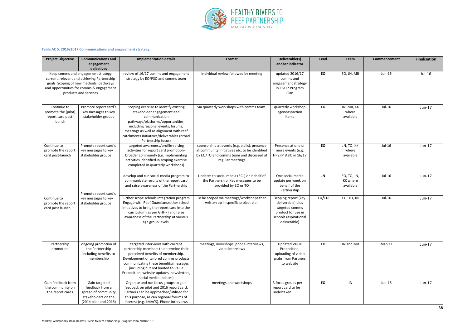![](_page_38_Picture_0.jpeg)

#### **Table AC 5. 2016/2017 Communications and engagement strategy.**

| <b>Project Objective</b>                                          | <b>Communications and</b><br>engagement<br>objectives                                                                                                                                             | <b>Implementation details</b>                                                                                                                                                                                                                                                                                    | Format                                                                                                                                                          | Deliverable(s)<br>and/or indicator                                                                                        | Lead  | Team                                 | Commencement | <b>Finalisation</b> |
|-------------------------------------------------------------------|---------------------------------------------------------------------------------------------------------------------------------------------------------------------------------------------------|------------------------------------------------------------------------------------------------------------------------------------------------------------------------------------------------------------------------------------------------------------------------------------------------------------------|-----------------------------------------------------------------------------------------------------------------------------------------------------------------|---------------------------------------------------------------------------------------------------------------------------|-------|--------------------------------------|--------------|---------------------|
|                                                                   | Keep comms and engagement strategy<br>current, relevant and achieving Partnership<br>goals. Scoping of new methods, pathways<br>and opportunities for comms & engagement<br>products and services | review of 16/17 comms and engagement<br>strategy by EO/PSO and comms team                                                                                                                                                                                                                                        | individual review followed by meeting                                                                                                                           | updated 2016/17<br>comms and<br>engagement strategy<br>in 16/17 Program<br>Plan                                           | EO    | EO, JN, MB                           | Jun-16       | $Jul-16$            |
| Continue to<br>promote the (pilot)<br>report card post-<br>launch | Promote report card's<br>key messages to key<br>stakeholder groups                                                                                                                                | Scoping exercise to identify existing<br>stakeholder engagement and<br>communication<br>pathways/platforms/opportunities,<br>including regional events, forums,<br>meetings as well as alignment with reef<br>catchments initiatives/deliverables (broad<br>Partnership focus)                                   | via quarterly workshops with comms team.                                                                                                                        | quarterly workshop<br>agendas/action<br>items                                                                             | EO    | JN, MB, KK<br>where<br>available     | Jul-16       | Jun-17              |
| Continue to<br>promote the report<br>card post-launch             | Promote report card's<br>key messages to key<br>stakeholder groups                                                                                                                                | targeted awareness/profile-raising<br>activities for report card promotion-<br>broader community (i.e. implementing<br>activities identified in scoping exercise<br>completed in quarterly workshops)                                                                                                            | sponsorship at events (e.g. stalls), presence<br>at community initiatives etc, to be identified<br>by EO/TO and comms team and discussed at<br>regular meetings | Presence at one or<br>more events (e.g.<br>HR2RP stall) in 16/17                                                          | EO    | JN, TO, KK<br>where<br>available     | Jul-16       | $Jun-17$            |
|                                                                   | Promote report card's                                                                                                                                                                             | develop and run social media program to<br>communicate results of the report card<br>and raise awareness of the Partnership                                                                                                                                                                                      | Updates to social media (RCL) on behalf of<br>the Partnership. Key messages to be<br>provided by EO or TO                                                       | One social media<br>update per week on<br>behalf of the<br>Partnership                                                    | JN    | EO, TO, JN,<br>KK where<br>available | Jul-16       | Jun-17              |
| Continue to<br>promote the report<br>card post launch             | key messages to key<br>stakeholder groups                                                                                                                                                         | Further scope schools integration program.<br>Engage with Reef Guardians/other school<br>initiatives to bring the report card into the<br>curriculum (as per GHHP) and raise<br>awareness of the Partnership at various<br>age group levels.                                                                     | To be scoped via meetings/workshops then<br>written up in specific project plan                                                                                 | scoping report (key<br>deliverable) plus<br>targeted comms<br>product for use in<br>schools (aspirational<br>deliverable) | EO/TO | EO, TO, JN                           | Jul-16       | Jun-17              |
| Partnership<br>promotion                                          | ongoing promotion of<br>the Partnership<br>including benefits to<br>membership                                                                                                                    | targeted interviews with current<br>partnership members to determine their<br>perceived benefits of membership.<br>Development of tailored comms products<br>communicating these benefits/messages<br>(including but not limited to Value<br>Proposition, website updates, newsletters,<br>social media updates) | meetings, workshops, phone interviews,<br>video interviews                                                                                                      | <b>Updated Value</b><br>Proposition,<br>uploading of video<br>grabs from Partners<br>to website                           | EO    | JN and MB                            | Mar-17       | Jun-17              |
| Gain feedback from<br>the community on<br>the report cards        | Gain targeted<br>feedback from a<br>spread of community<br>stakeholders on the<br>(2014 pilot and 2016)                                                                                           | Organise and run focus groups to gain<br>feedback on pilot and 2016 report card.<br>Partners can be approached/utilised for<br>this purpose, as can regional forums of<br>interest (e.g. LMACS). Phone interviews                                                                                                | meetings and workshops                                                                                                                                          | 3 focus groups per<br>report card to be<br>undertaken                                                                     | EO    | JN                                   | Jun-16       | Jun-17              |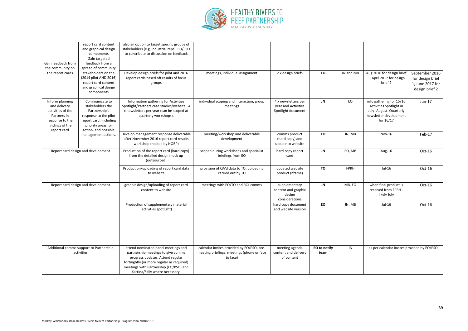![](_page_39_Picture_0.jpeg)

| Gain feedback from<br>the community on<br>the report cards                                                               | report card content<br>and graphical design<br>components<br>Gain targeted<br>feedback from a<br>spread of community<br>stakeholders on the<br>(2014 pilot AND 2016)<br>report card content<br>and graphical design<br>components | also an option to target specific groups of<br>stakeholders (e.g. industrial reps). EO/PSO<br>to contribute to discussion on feedback<br>Develop design briefs for pilot and 2016<br>report cards based off results of focus<br>groups | meetings, individual assignment                                                                     | 2 x design briefs                                                | EO                   | JN and MB   | Aug 2016 for design brief<br>1, April 2017 for design<br>brief 2                                                      | September 2016<br>for design brief<br>1, June 2017 for<br>design brief 2 |
|--------------------------------------------------------------------------------------------------------------------------|-----------------------------------------------------------------------------------------------------------------------------------------------------------------------------------------------------------------------------------|----------------------------------------------------------------------------------------------------------------------------------------------------------------------------------------------------------------------------------------|-----------------------------------------------------------------------------------------------------|------------------------------------------------------------------|----------------------|-------------|-----------------------------------------------------------------------------------------------------------------------|--------------------------------------------------------------------------|
| Inform planning<br>and delivery<br>activities of the<br>Partners in<br>response to the<br>findings of the<br>report card | Communicate to<br>stakeholders the<br>Partnership's<br>response to the pilot<br>report card, including<br>priority areas for<br>action, and possible                                                                              | Information gathering for Activities<br>Spotlight/Partners case studies/website. 4<br>x newsletters per year (can be scoped at<br>quarterly workshops).                                                                                | individual scoping and interaction, group<br>meetings                                               | 4 x newsletters per<br>year and Activities<br>Spotlight document | JN                   | EO          | info gathering for 15/16<br>Activities Spotlight in<br>July- August. Quarterly<br>newsletter development<br>for 16/17 | Jun-17                                                                   |
|                                                                                                                          | management actions.                                                                                                                                                                                                               | Develop management response deliverable<br>after November 2016 report card results<br>workshop (hosted by NQBP)                                                                                                                        | meeting/workshop and deliverable<br>development                                                     | comms product<br>(hard copy) and<br>update to website            | EO                   | JN, MB      | <b>Nov-16</b>                                                                                                         | Feb-17                                                                   |
|                                                                                                                          | Report card design and development                                                                                                                                                                                                | Production of the report card (hard copy)<br>from the detailed design mock up<br>(outsourced)                                                                                                                                          | scoped during workshops and specialist<br>briefings from EO                                         | hard copy report<br>card                                         | JN                   | EO, MB      | Aug-16                                                                                                                | Oct-16                                                                   |
|                                                                                                                          |                                                                                                                                                                                                                                   | Production/uploading of report card data<br>to website                                                                                                                                                                                 | provision of QA'd data to TO, uploading<br>carried out by TO                                        | updated website<br>product (iframe)                              | TO                   | <b>FPRH</b> | Jul-16                                                                                                                | Oct-16                                                                   |
|                                                                                                                          | Report card design and development                                                                                                                                                                                                | graphic design/uploading of report card<br>content to website                                                                                                                                                                          | meetings with EO/TO and RCL comms                                                                   | supplementary<br>content and graphic<br>design<br>considerations | JN                   | MB, EO      | when final product is<br>received from FPRH -<br>likely July                                                          | Oct-16                                                                   |
|                                                                                                                          |                                                                                                                                                                                                                                   | Production of supplementary material<br>(activities spotlight)                                                                                                                                                                         |                                                                                                     | hard copy document<br>and website version                        | EO                   | JN, MB      | Jul-16                                                                                                                | Oct-16                                                                   |
|                                                                                                                          | Additional comms support to Partnership<br>activities                                                                                                                                                                             | attend nominated panel meetings and<br>partnership meetings to give comms<br>progress updates. Attend regular<br>fortnightly (or more regular as required)<br>meetings with Partnership (EO/PSO) and<br>Katrina/Sally where necessary. | calendar invites provided by EO/PSO, pre-<br>meeting briefings, meetings (phone or face<br>to face) | meeting agenda<br>content and delivery<br>of content             | EO to notify<br>team | JN          | as per calendar invites provided by EO/PSO                                                                            |                                                                          |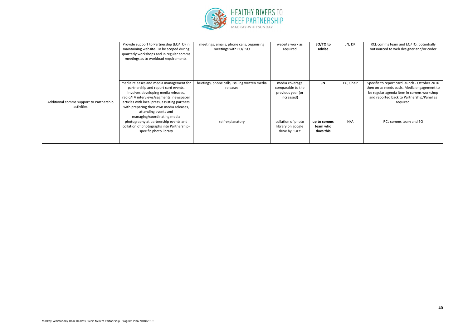| TO to<br>lvise            | JN, DK    | RCL comms team and EO/TO, potentially<br>outsourced to web designer and/or coder                                                                                                                   |
|---------------------------|-----------|----------------------------------------------------------------------------------------------------------------------------------------------------------------------------------------------------|
| JN                        | EO, Chair | Specific to report card launch - October 2016<br>then on as needs basis. Media engagement to<br>be regular agenda item in comms workshop<br>and reported back to Partnership/Panel as<br>required. |
| comms<br>n who<br>es this | N/A       | RCL comms team and EO                                                                                                                                                                              |

![](_page_40_Picture_0.jpeg)

|                                                       | Provide support to Partnership (EO/TO) in<br>maintaining website. To be scoped during<br>quarterly workshops and in regular comms<br>meetings as to workload requirements.                                                                                                                                           | meetings, emails, phone calls, organising<br>meetings with EO/PSO | website work as<br>required                                            | EO/TO to<br>advise                   | JN, DK  |
|-------------------------------------------------------|----------------------------------------------------------------------------------------------------------------------------------------------------------------------------------------------------------------------------------------------------------------------------------------------------------------------|-------------------------------------------------------------------|------------------------------------------------------------------------|--------------------------------------|---------|
| Additional comms support to Partnership<br>activities | media releases and media management for<br>partnership and report card events.<br>Involves developing media releases,<br>radio/TV interviews/segments, newspaper<br>articles with local press, assisting partners<br>with preparing their own media releases,<br>attending events and<br>managing/coordinating media | briefings, phone calls, issuing written media<br>releases         | media coverage<br>comparable to the<br>previous year (or<br>increased) | JN                                   | EO, Cha |
|                                                       | photography at partnership events and<br>collation of photographs into Partnership-<br>specific photo library                                                                                                                                                                                                        | self-explanatory                                                  | collation of photo<br>library on google<br>drive by EOFY               | up to comms<br>team who<br>does this | N/A     |